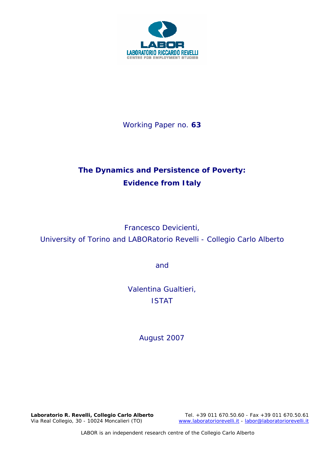

Working Paper no. **63** 

# **The Dynamics and Persistence of Poverty: Evidence from Italy**

Francesco Devicienti,

University of Torino and LABORatorio Revelli - Collegio Carlo Alberto

and

Valentina Gualtieri, ISTAT

*August 2007* 

Laboratorio R. Revelli, *Collegio Carlo Alberto* Tel. +39 011 670.50.60 - Fax +39 011 670.50.61<br>Via Real Collegio, 30 - 10024 Moncalieri (TO) vww.laboratoriorevelli.it - labor@laboratoriorevelli.it www.laboratoriorevelli.it - labor@laboratoriorevelli.it

LABOR is an independent research centre of the Collegio Carlo Alberto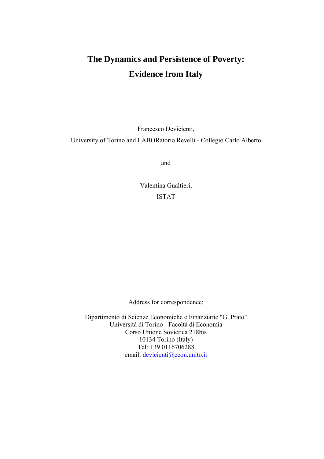# **The Dynamics and Persistence of Poverty: Evidence from Italy**

Francesco Devicienti,

University of Torino and LABORatorio Revelli - Collegio Carlo Alberto

and

Valentina Gualtieri, ISTAT

Address for correspondence:

Dipartimento di Scienze Economiche e Finanziarie "G. Prato" Università di Torino - Facoltà di Economia Corso Unione Sovietica 218bis 10134 Torino (Italy) Tel: +39 0116706288 email: devicienti@econ.unito.it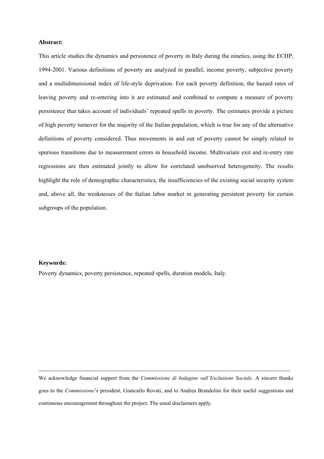#### **Abstract:**

This article studies the dynamics and persistence of poverty in Italy during the nineties, using the ECHP, 1994-2001. Various definitions of poverty are analyzed in parallel, income poverty, subjective poverty and a multidimensional index of life-style deprivation. For each poverty definition, the hazard rates of leaving poverty and re-entering into it are estimated and combined to compute a measure of poverty persistence that takes account of individuals' repeated spells in poverty. The estimates provide a picture of high poverty turnover for the majority of the Italian population, which is true for any of the alternative definitions of poverty considered. Thus movements in and out of poverty cannot be simply related to spurious transitions due to measurement errors in household income. Multivariate exit and re-entry rate regressions are then estimated jointly to allow for correlated unobserved heterogeneity. The results highlight the role of demographic characteristics, the insufficiencies of the existing social security system and, above all, the weaknesses of the Italian labor market in generating persistent poverty for certain subgroups of the population.

#### **Keywords:**

Poverty dynamics, poverty persistence, repeated spells, duration models, Italy.

We acknowledge financial support from the *Commissione di Indagine sull'Esclusione Sociale*. A sincere thanks goes to the *Commissione*'s president, Giancarlo Rovati, and to Andrea Brandolini for their useful suggestions and continuous encouragement throughout the project. The usual disclaimers apply.

 $\mathcal{L}_\mathcal{L} = \{ \mathcal{L}_\mathcal{L} = \{ \mathcal{L}_\mathcal{L} = \{ \mathcal{L}_\mathcal{L} = \{ \mathcal{L}_\mathcal{L} = \{ \mathcal{L}_\mathcal{L} = \{ \mathcal{L}_\mathcal{L} = \{ \mathcal{L}_\mathcal{L} = \{ \mathcal{L}_\mathcal{L} = \{ \mathcal{L}_\mathcal{L} = \{ \mathcal{L}_\mathcal{L} = \{ \mathcal{L}_\mathcal{L} = \{ \mathcal{L}_\mathcal{L} = \{ \mathcal{L}_\mathcal{L} = \{ \mathcal{L}_\mathcal{$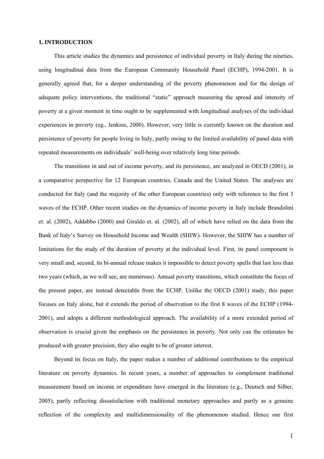#### **1. INTRODUCTION**

This article studies the dynamics and persistence of individual poverty in Italy during the nineties, using longitudinal data from the European Community Household Panel (ECHP), 1994-2001. It is generally agreed that, for a deeper understanding of the poverty phenomenon and for the design of adequate policy interventions, the traditional "static" approach measuring the spread and intensity of poverty at a given moment in time ought to be supplemented with longitudinal analyses of the individual experiences in poverty (eg., Jenkins, 2000). However, very little is currently known on the duration and persistence of poverty for people living in Italy, partly owing to the limited availability of panel data with repeated measurements on individuals' well-being over relatively long time periods.

The transitions in and out of income poverty, and its persistence, are analyzed in OECD (2001), in a comparative perspective for 12 European countries, Canada and the United States. The analyses are conducted for Italy (and the majority of the other European countries) only with reference to the first 3 waves of the ECHP. Other recent studies on the dynamics of income poverty in Italy include Brandolini et. al. (2002), Addabbo (2000) and Giraldo et. al. (2002), all of which have relied on the data from the Bank of Italy's Survey on Household Income and Wealth (SHIW). However, the SHIW has a number of limitations for the study of the duration of poverty at the individual level. First, its panel component is very small and, second, its bi-annual release makes it impossible to detect poverty spells that last less than two years (which, as we will see, are numerous). Annual poverty transitions, which constitute the focus of the present paper, are instead detectable from the ECHP. Unlike the OECD (2001) study, this paper focuses on Italy alone, but it extends the period of observation to the first 8 waves of the ECHP (1994- 2001), and adopts a different methodological approach. The availability of a more extended period of observation is crucial given the emphasis on the persistence in poverty. Not only can the estimates be produced with greater precision, they also ought to be of greater interest.

Beyond its focus on Italy, the paper makes a number of additional contributions to the empirical literature on poverty dynamics. In recent years, a number of approaches to complement traditional measurement based on income or expenditure have emerged in the literature (e.g., Deutsch and Silber, 2005), partly reflecting dissatisfaction with traditional monetary approaches and partly as a genuine reflection of the complexity and multidimensionality of the phenomenon studied. Hence our first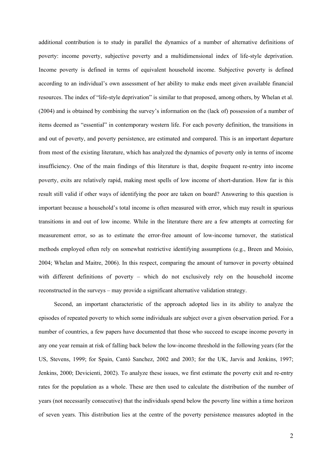additional contribution is to study in parallel the dynamics of a number of alternative definitions of poverty: income poverty, subjective poverty and a multidimensional index of life-style deprivation. Income poverty is defined in terms of equivalent household income. Subjective poverty is defined according to an individual's own assessment of her ability to make ends meet given available financial resources. The index of "life-style deprivation" is similar to that proposed, among others, by Whelan et al. (2004) and is obtained by combining the survey's information on the (lack of) possession of a number of items deemed as "essential" in contemporary western life. For each poverty definition, the transitions in and out of poverty, and poverty persistence, are estimated and compared. This is an important departure from most of the existing literature, which has analyzed the dynamics of poverty only in terms of income insufficiency. One of the main findings of this literature is that, despite frequent re-entry into income poverty, exits are relatively rapid, making most spells of low income of short-duration. How far is this result still valid if other ways of identifying the poor are taken on board? Answering to this question is important because a household's total income is often measured with error, which may result in spurious transitions in and out of low income. While in the literature there are a few attempts at correcting for measurement error, so as to estimate the error-free amount of low-income turnover, the statistical methods employed often rely on somewhat restrictive identifying assumptions (e.g., Breen and Moisio, 2004; Whelan and Maitre, 2006). In this respect, comparing the amount of turnover in poverty obtained with different definitions of poverty – which do not exclusively rely on the household income reconstructed in the surveys – may provide a significant alternative validation strategy.

Second, an important characteristic of the approach adopted lies in its ability to analyze the episodes of repeated poverty to which some individuals are subject over a given observation period. For a number of countries, a few papers have documented that those who succeed to escape income poverty in any one year remain at risk of falling back below the low-income threshold in the following years (for the US, Stevens, 1999; for Spain, Cantό Sanchez, 2002 and 2003; for the UK, Jarvis and Jenkins, 1997; Jenkins, 2000; Devicienti, 2002). To analyze these issues, we first estimate the poverty exit and re-entry rates for the population as a whole. These are then used to calculate the distribution of the number of years (not necessarily consecutive) that the individuals spend below the poverty line within a time horizon of seven years. This distribution lies at the centre of the poverty persistence measures adopted in the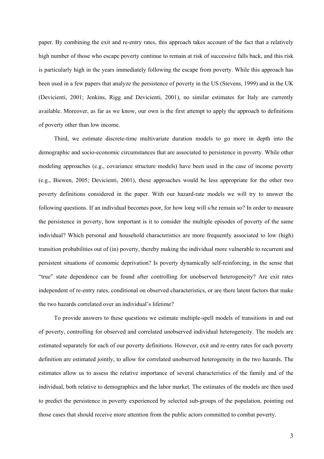paper. By combining the exit and re-entry rates, this approach takes account of the fact that a relatively high number of those who escape poverty continue to remain at risk of successive falls back, and this risk is particularly high in the years immediately following the escape from poverty. While this approach has been used in a few papers that analyze the persistence of poverty in the US (Stevens, 1999) and in the UK (Devicienti, 2001; Jenkins, Rigg and Devicienti, 2001), no similar estimates for Italy are currently available. Moreover, as far as we know, our own is the first attempt to apply the approach to definitions of poverty other than low income.

Third, we estimate discrete-time multivariate duration models to go more in depth into the demographic and socio-economic circumstances that are associated to persistence in poverty. While other modeling approaches (e.g., covariance structure models) have been used in the case of income poverty (e.g., Biewen, 2005; Devicienti, 2001), these approaches would be less appropriate for the other two poverty definitions considered in the paper. With our hazard-rate models we will try to answer the following questions. If an individual becomes poor, for how long will s/he remain so? In order to measure the persistence in poverty, how important is it to consider the multiple episodes of poverty of the same individual? Which personal and household characteristics are more frequently associated to low (high) transition probabilities out of (in) poverty, thereby making the individual more vulnerable to recurrent and persistent situations of economic deprivation? Is poverty dynamically self-reinforcing, in the sense that "true" state dependence can be found after controlling for unobserved heterogeneity? Are exit rates independent of re-entry rates, conditional on observed characteristics, or are there latent factors that make the two hazards correlated over an individual's lifetime?

To provide answers to these questions we estimate multiple-spell models of transitions in and out of poverty, controlling for observed and correlated unobserved individual heterogeneity. The models are estimated separately for each of our poverty definitions. However, exit and re-entry rates for each poverty definition are estimated jointly, to allow for correlated unobserved heterogeneity in the two hazards. The estimates allow us to assess the relative importance of several characteristics of the family and of the individual, both relative to demographics and the labor market. The estimates of the models are then used to predict the persistence in poverty experienced by selected sub-groups of the population, pointing out those cases that should receive more attention from the public actors committed to combat poverty.

3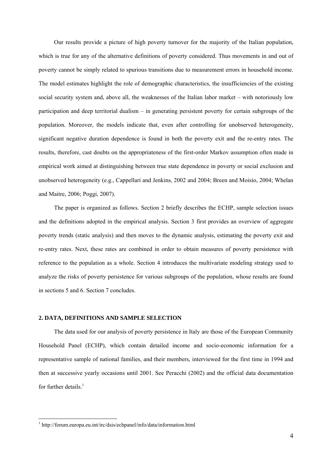Our results provide a picture of high poverty turnover for the majority of the Italian population, which is true for any of the alternative definitions of poverty considered. Thus movements in and out of poverty cannot be simply related to spurious transitions due to measurement errors in household income. The model estimates highlight the role of demographic characteristics, the insufficiencies of the existing social security system and, above all, the weaknesses of the Italian labor market – with notoriously low participation and deep territorial dualism – in generating persistent poverty for certain subgroups of the population. Moreover, the models indicate that, even after controlling for unobserved heterogeneity, significant negative duration dependence is found in both the poverty exit and the re-entry rates. The results, therefore, cast doubts on the appropriateness of the first-order Markov assumption often made in empirical work aimed at distinguishing between true state dependence in poverty or social exclusion and unobserved heterogeneity (e.g., Cappellari and Jenkins, 2002 and 2004; Breen and Moisio, 2004; Whelan and Maitre, 2006; Poggi, 2007).

The paper is organized as follows. Section 2 briefly describes the ECHP, sample selection issues and the definitions adopted in the empirical analysis. Section 3 first provides an overview of aggregate poverty trends (static analysis) and then moves to the dynamic analysis, estimating the poverty exit and re-entry rates. Next, these rates are combined in order to obtain measures of poverty persistence with reference to the population as a whole. Section 4 introduces the multivariate modeling strategy used to analyze the risks of poverty persistence for various subgroups of the population, whose results are found in sections 5 and 6. Section 7 concludes.

#### **2. DATA, DEFINITIONS AND SAMPLE SELECTION**

The data used for our analysis of poverty persistence in Italy are those of the European Community Household Panel (ECHP), which contain detailed income and socio-economic information for a representative sample of national families, and their members, interviewed for the first time in 1994 and then at successive yearly occasions until 2001. See Peracchi (2002) and the official data documentation for further details. $<sup>1</sup>$ </sup>

 $\overline{a}$ 

<sup>&</sup>lt;sup>1</sup> http://forum.europa.eu.int/irc/dsis/echpanel/info/data/information.html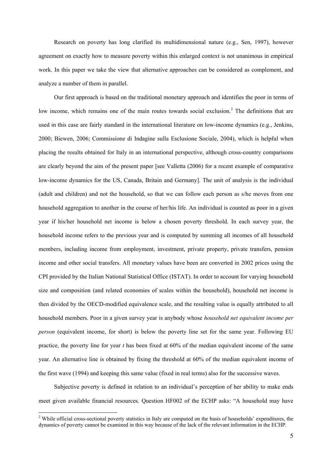Research on poverty has long clarified its multidimensional nature (e.g., Sen, 1997), however agreement on exactly how to measure poverty within this enlarged context is not unanimous in empirical work. In this paper we take the view that alternative approaches can be considered as complement, and analyze a number of them in parallel.

Our first approach is based on the traditional monetary approach and identifies the poor in terms of low income, which remains one of the main routes towards social exclusion.<sup>2</sup> The definitions that are used in this case are fairly standard in the international literature on low-income dynamics (e.g., Jenkins, 2000; Biewen, 2006; Commissione di Indagine sulla Esclusione Sociale, 2004), which is helpful when placing the results obtained for Italy in an international perspective, although cross-country comparisons are clearly beyond the aim of the present paper [see Valletta (2006) for a recent example of comparative low-income dynamics for the US, Canada, Britain and Germany]. The unit of analysis is the individual (adult and children) and not the household, so that we can follow each person as s/he moves from one household aggregation to another in the course of her/his life. An individual is counted as poor in a given year if his/her household net income is below a chosen poverty threshold. In each survey year, the household income refers to the previous year and is computed by summing all incomes of all household members, including income from employment, investment, private property, private transfers, pension income and other social transfers. All monetary values have been are converted in 2002 prices using the CPI provided by the Italian National Statistical Office (ISTAT). In order to account for varying household size and composition (and related economies of scales within the household), household net income is then divided by the OECD-modified equivalence scale, and the resulting value is equally attributed to all household members. Poor in a given survey year is anybody whose *household net equivalent income per person* (equivalent income, for short) is below the poverty line set for the same year. Following EU practice, the poverty line for year *t* has been fixed at 60% of the median equivalent income of the same year. An alternative line is obtained by fixing the threshold at 60% of the median equivalent income of the first wave (1994) and keeping this same value (fixed in real terms) also for the successive waves.

Subjective poverty is defined in relation to an individual's perception of her ability to make ends meet given available financial resources. Question HF002 of the ECHP asks: "A household may have

 $\overline{a}$ 

<sup>&</sup>lt;sup>2</sup> While official cross-sectional poverty statistics in Italy are computed on the basis of households' expenditures, the dynamics of poverty cannot be examined in this way because of the lack of the relevant information in the ECHP.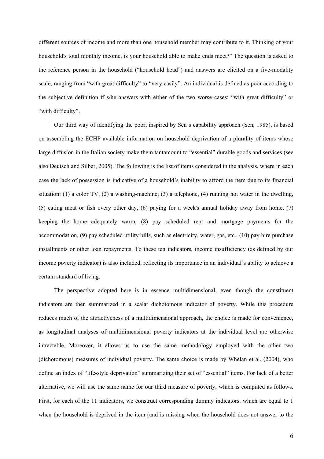different sources of income and more than one household member may contribute to it. Thinking of your household's total monthly income, is your household able to make ends meet?" The question is asked to the reference person in the household ("household head") and answers are elicited on a five-modality scale, ranging from "with great difficulty" to "very easily". An individual is defined as poor according to the subjective definition if s/he answers with either of the two worse cases: "with great difficulty" or "with difficulty".

Our third way of identifying the poor, inspired by Sen's capability approach (Sen, 1985), is based on assembling the ECHP available information on household deprivation of a plurality of items whose large diffusion in the Italian society make them tantamount to "essential" durable goods and services (see also Deutsch and Silber, 2005). The following is the list of items considered in the analysis, where in each case the lack of possession is indicative of a household's inability to afford the item due to its financial situation: (1) a color TV, (2) a washing-machine, (3) a telephone, (4) running hot water in the dwelling, (5) eating meat or fish every other day, (6) paying for a week's annual holiday away from home, (7) keeping the home adequately warm, (8) pay scheduled rent and mortgage payments for the accommodation, (9) pay scheduled utility bills, such as electricity, water, gas, etc., (10) pay hire purchase installments or other loan repayments. To these ten indicators, income insufficiency (as defined by our income poverty indicator) is also included, reflecting its importance in an individual's ability to achieve a certain standard of living.

The perspective adopted here is in essence multidimensional, even though the constituent indicators are then summarized in a scalar dichotomous indicator of poverty. While this procedure reduces much of the attractiveness of a multidimensional approach, the choice is made for convenience, as longitudinal analyses of multidimensional poverty indicators at the individual level are otherwise intractable. Moreover, it allows us to use the same methodology employed with the other two (dichotomous) measures of individual poverty. The same choice is made by Whelan et al. (2004), who define an index of "life-style deprivation" summarizing their set of "essential" items. For lack of a better alternative, we will use the same name for our third measure of poverty, which is computed as follows. First, for each of the 11 indicators, we construct corresponding dummy indicators, which are equal to 1 when the household is deprived in the item (and is missing when the household does not answer to the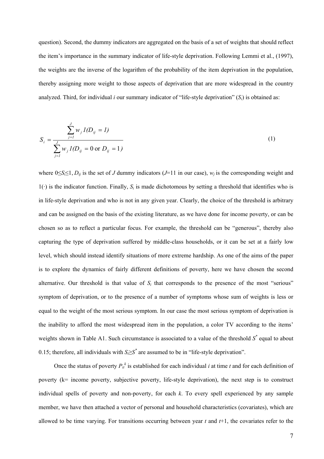question). Second, the dummy indicators are aggregated on the basis of a set of weights that should reflect the item's importance in the summary indicator of life-style deprivation. Following Lemmi et al., (1997), the weights are the inverse of the logarithm of the probability of the item deprivation in the population, thereby assigning more weight to those aspects of deprivation that are more widespread in the country analyzed. Third, for individual *i* our summary indicator of "life-style deprivation"  $(S_i)$  is obtained as:

$$
S_i = \frac{\sum_{j=1}^{J} w_j I(D_{ij} = I)}{\sum_{j=1}^{J} w_j I(D_{ij} = 0 \text{ or } D_{ij} = 1)}
$$
(1)

where  $0 \le S_i \le 1$ ,  $D_{ij}$  is the set of *J* dummy indicators (*J*=11 in our case),  $w_i$  is the corresponding weight and  $1(\cdot)$  is the indicator function. Finally,  $S_i$  is made dichotomous by setting a threshold that identifies who is in life-style deprivation and who is not in any given year. Clearly, the choice of the threshold is arbitrary and can be assigned on the basis of the existing literature, as we have done for income poverty, or can be chosen so as to reflect a particular focus. For example, the threshold can be "generous", thereby also capturing the type of deprivation suffered by middle-class households, or it can be set at a fairly low level, which should instead identify situations of more extreme hardship. As one of the aims of the paper is to explore the dynamics of fairly different definitions of poverty, here we have chosen the second alternative. Our threshold is that value of  $S_i$  that corresponds to the presence of the most "serious" symptom of deprivation, or to the presence of a number of symptoms whose sum of weights is less or equal to the weight of the most serious symptom. In our case the most serious symptom of deprivation is the inability to afford the most widespread item in the population, a color TV according to the items' weights shown in Table A1. Such circumstance is associated to a value of the threshold  $S^*$  equal to about 0.15; therefore, all individuals with  $S \geq S^*$  are assumed to be in "life-style deprivation".

Once the status of poverty  $P_{it}^{k}$  is established for each individual *i* at time *t* and for each definition of poverty (k= income poverty, subjective poverty, life-style deprivation), the next step is to construct individual spells of poverty and non-poverty, for each *k*. To every spell experienced by any sample member, we have then attached a vector of personal and household characteristics (covariates), which are allowed to be time varying. For transitions occurring between year *t* and *t*+1, the covariates refer to the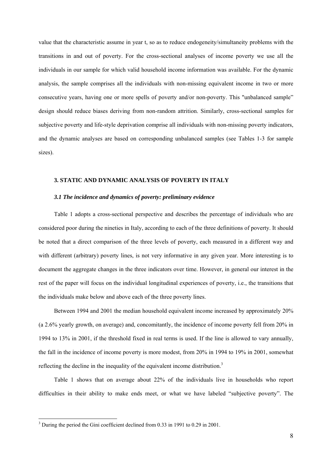value that the characteristic assume in year t, so as to reduce endogeneity/simultaneity problems with the transitions in and out of poverty. For the cross-sectional analyses of income poverty we use all the individuals in our sample for which valid household income information was available. For the dynamic analysis, the sample comprises all the individuals with non-missing equivalent income in two or more consecutive years, having one or more spells of poverty and/or non-poverty. This "unbalanced sample" design should reduce biases deriving from non-random attrition. Similarly, cross-sectional samples for subjective poverty and life-style deprivation comprise all individuals with non-missing poverty indicators, and the dynamic analyses are based on corresponding unbalanced samples (see Tables 1-3 for sample sizes).

#### **3. STATIC AND DYNAMIC ANALYSIS OF POVERTY IN ITALY**

#### *3.1 The incidence and dynamics of poverty: preliminary evidence*

Table 1 adopts a cross-sectional perspective and describes the percentage of individuals who are considered poor during the nineties in Italy, according to each of the three definitions of poverty. It should be noted that a direct comparison of the three levels of poverty, each measured in a different way and with different (arbitrary) poverty lines, is not very informative in any given year. More interesting is to document the aggregate changes in the three indicators over time. However, in general our interest in the rest of the paper will focus on the individual longitudinal experiences of poverty, i.e., the transitions that the individuals make below and above each of the three poverty lines.

Between 1994 and 2001 the median household equivalent income increased by approximately 20% (a 2.6% yearly growth, on average) and, concomitantly, the incidence of income poverty fell from 20% in 1994 to 13% in 2001, if the threshold fixed in real terms is used. If the line is allowed to vary annually, the fall in the incidence of income poverty is more modest, from 20% in 1994 to 19% in 2001, somewhat reflecting the decline in the inequality of the equivalent income distribution.<sup>3</sup>

Table 1 shows that on average about 22% of the individuals live in households who report difficulties in their ability to make ends meet, or what we have labeled "subjective poverty". The

<sup>&</sup>lt;sup>3</sup> During the period the Gini coefficient declined from 0.33 in 1991 to 0.29 in 2001.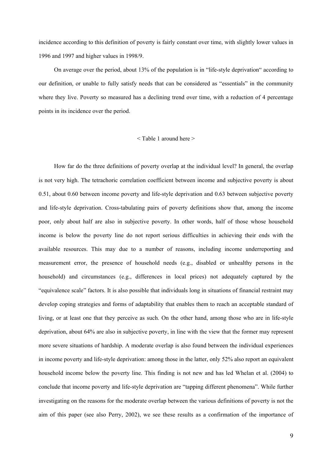incidence according to this definition of poverty is fairly constant over time, with slightly lower values in 1996 and 1997 and higher values in 1998/9.

On average over the period, about 13% of the population is in "life-style deprivation" according to our definition, or unable to fully satisfy needs that can be considered as "essentials" in the community where they live. Poverty so measured has a declining trend over time, with a reduction of 4 percentage points in its incidence over the period.

#### < Table 1 around here >

How far do the three definitions of poverty overlap at the individual level? In general, the overlap is not very high. The tetrachoric correlation coefficient between income and subjective poverty is about 0.51, about 0.60 between income poverty and life-style deprivation and 0.63 between subjective poverty and life-style deprivation. Cross-tabulating pairs of poverty definitions show that, among the income poor, only about half are also in subjective poverty. In other words, half of those whose household income is below the poverty line do not report serious difficulties in achieving their ends with the available resources. This may due to a number of reasons, including income underreporting and measurement error, the presence of household needs (e.g., disabled or unhealthy persons in the household) and circumstances (e.g., differences in local prices) not adequately captured by the "equivalence scale" factors. It is also possible that individuals long in situations of financial restraint may develop coping strategies and forms of adaptability that enables them to reach an acceptable standard of living, or at least one that they perceive as such. On the other hand, among those who are in life-style deprivation, about 64% are also in subjective poverty, in line with the view that the former may represent more severe situations of hardship. A moderate overlap is also found between the individual experiences in income poverty and life-style deprivation: among those in the latter, only 52% also report an equivalent household income below the poverty line. This finding is not new and has led Whelan et al. (2004) to conclude that income poverty and life-style deprivation are "tapping different phenomena". While further investigating on the reasons for the moderate overlap between the various definitions of poverty is not the aim of this paper (see also Perry, 2002), we see these results as a confirmation of the importance of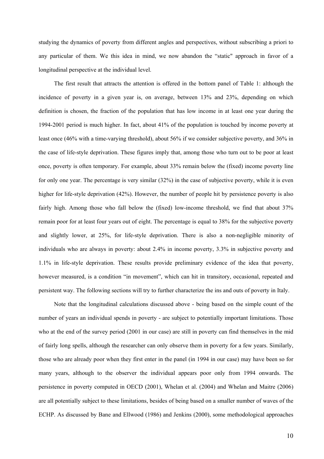studying the dynamics of poverty from different angles and perspectives, without subscribing a priori to any particular of them. We this idea in mind, we now abandon the "static" approach in favor of a longitudinal perspective at the individual level.

The first result that attracts the attention is offered in the bottom panel of Table 1: although the incidence of poverty in a given year is, on average, between 13% and 23%, depending on which definition is chosen, the fraction of the population that has low income in at least one year during the 1994-2001 period is much higher. In fact, about 41% of the population is touched by income poverty at least once (46% with a time-varying threshold), about 56% if we consider subjective poverty, and 36% in the case of life-style deprivation. These figures imply that, among those who turn out to be poor at least once, poverty is often temporary. For example, about 33% remain below the (fixed) income poverty line for only one year. The percentage is very similar (32%) in the case of subjective poverty, while it is even higher for life-style deprivation (42%). However, the number of people hit by persistence poverty is also fairly high. Among those who fall below the (fixed) low-income threshold, we find that about 37% remain poor for at least four years out of eight. The percentage is equal to 38% for the subjective poverty and slightly lower, at 25%, for life-style deprivation. There is also a non-negligible minority of individuals who are always in poverty: about 2.4% in income poverty, 3.3% in subjective poverty and 1.1% in life-style deprivation. These results provide preliminary evidence of the idea that poverty, however measured, is a condition "in movement", which can hit in transitory, occasional, repeated and persistent way. The following sections will try to further characterize the ins and outs of poverty in Italy.

Note that the longitudinal calculations discussed above - being based on the simple count of the number of years an individual spends in poverty - are subject to potentially important limitations. Those who at the end of the survey period (2001 in our case) are still in poverty can find themselves in the mid of fairly long spells, although the researcher can only observe them in poverty for a few years. Similarly, those who are already poor when they first enter in the panel (in 1994 in our case) may have been so for many years, although to the observer the individual appears poor only from 1994 onwards. The persistence in poverty computed in OECD (2001), Whelan et al. (2004) and Whelan and Maitre (2006) are all potentially subject to these limitations, besides of being based on a smaller number of waves of the ECHP. As discussed by Bane and Ellwood (1986) and Jenkins (2000), some methodological approaches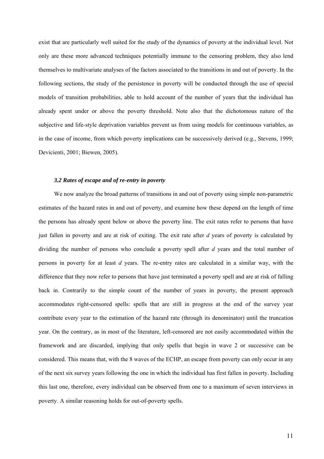exist that are particularly well suited for the study of the dynamics of poverty at the individual level. Not only are these more advanced techniques potentially immune to the censoring problem, they also lend themselves to multivariate analyses of the factors associated to the transitions in and out of poverty. In the following sections, the study of the persistence in poverty will be conducted through the use of special models of transition probabilities, able to hold account of the number of years that the individual has already spent under or above the poverty threshold. Note also that the dichotomous nature of the subjective and life-style deprivation variables prevent us from using models for continuous variables, as in the case of income, from which poverty implications can be successively derived (e.g., Stevens, 1999; Devicienti, 2001; Biewen, 2005).

#### *3.2 Rates of escape and of re-entry in poverty*

We now analyze the broad patterns of transitions in and out of poverty using simple non-parametric estimates of the hazard rates in and out of poverty, and examine how these depend on the length of time the persons has already spent below or above the poverty line. The exit rates refer to persons that have just fallen in poverty and are at risk of exiting. The exit rate after *d* years of poverty is calculated by dividing the number of persons who conclude a poverty spell after *d* years and the total number of persons in poverty for at least *d* years. The re-entry rates are calculated in a similar way, with the difference that they now refer to persons that have just terminated a poverty spell and are at risk of falling back in. Contrarily to the simple count of the number of years in poverty, the present approach accommodates right-censored spells: spells that are still in progress at the end of the survey year contribute every year to the estimation of the hazard rate (through its denominator) until the truncation year. On the contrary, as in most of the literature, left-censored are not easily accommodated within the framework and are discarded, implying that only spells that begin in wave 2 or successive can be considered. This means that, with the 8 waves of the ECHP, an escape from poverty can only occur in any of the next six survey years following the one in which the individual has first fallen in poverty. Including this last one, therefore, every individual can be observed from one to a maximum of seven interviews in poverty. A similar reasoning holds for out-of-poverty spells.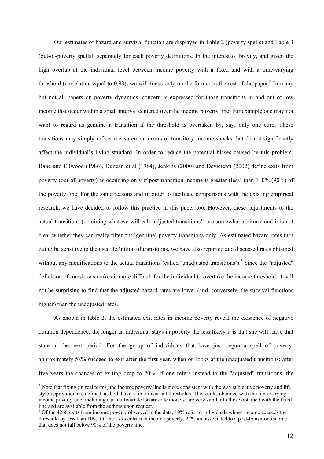Our estimates of hazard and survival function are displayed in Table 2 (poverty spells) and Table 3 (out-of-poverty spells), separately for each poverty definitions. In the interest of brevity, and given the high overlap at the individual level between income poverty with a fixed and with a time-varying threshold (correlation equal to  $0.93$ ), we will focus only on the former in the rest of the paper.<sup>4</sup> In many but not all papers on poverty dynamics, concern is expressed for those transitions in and out of low income that occur within a small interval centered over the income poverty line. For example one may not want to regard as genuine a transition if the threshold is overtaken by, say, only one euro. These transitions may simply reflect measurement errors or transitory income shocks that do not significantly affect the individual's living standard. In order to reduce the potential biases caused by this problem, Bane and Ellwood (1986), Duncan et al (1984), Jenkins (2000) and Devicienti (2002) define exits from poverty (out-of-poverty) as occurring only if post-transition income is greater (less) than 110% (90%) of the poverty line. For the same reasons and in order to facilitate comparisons with the existing empirical research, we have decided to follow this practice in this paper too. However, these adjustments to the actual transitions (obtaining what we will call 'adjusted transitions') are somewhat arbitrary and it is not clear whether they can really filter out 'genuine' poverty transitions only. As estimated hazard rates turn out to be sensitive to the used definition of transitions, we have also reported and discussed rates obtained without any modifications to the actual transitions (called 'unadjusted transitions').<sup>5</sup> Since the "adjusted" definition of transitions makes it more difficult for the individual to overtake the income threshold, it will not be surprising to find that the adjusted hazard rates are lower (and, conversely, the survival functions higher) than the unadjusted rates.

As shown in table 2, the estimated exit rates in income poverty reveal the existence of negative duration dependence: the longer an individual stays in poverty the less likely it is that she will leave that state in the next period. For the group of individuals that have just begun a spell of poverty, approximately 58% succeed to exit after the first year, when on looks at the unadjusted transitions; after five years the chances of exiting drop to 20%. If one refers instead to the "adjusted" transitions, the

 $\overline{a}$ 

 $4$  Note that fixing (in real terms) the income poverty line is more consistent with the way subjective poverty and life style-deprivation are defined, as both have a time-invariant thresholds. The results obtained with the time-varying income poverty line, including our multivariate hazard-rate models, are very similar to those obtained with the fixed line and are available from the authors upon request.

 $5$  Of the 4268 exits from income poverty observed in the data, 19% refer to individuals whose income exceeds the threshold by less than 10%. Of the 2795 entries in income poverty, 27% are associated to a post-transition income that does not fall below 90% of the poverty line.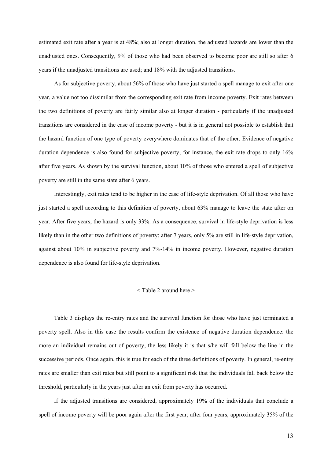estimated exit rate after a year is at 48%; also at longer duration, the adjusted hazards are lower than the unadjusted ones. Consequently, 9% of those who had been observed to become poor are still so after 6 years if the unadjusted transitions are used; and 18% with the adjusted transitions.

As for subjective poverty, about 56% of those who have just started a spell manage to exit after one year, a value not too dissimilar from the corresponding exit rate from income poverty. Exit rates between the two definitions of poverty are fairly similar also at longer duration - particularly if the unadjusted transitions are considered in the case of income poverty - but it is in general not possible to establish that the hazard function of one type of poverty everywhere dominates that of the other. Evidence of negative duration dependence is also found for subjective poverty; for instance, the exit rate drops to only 16% after five years. As shown by the survival function, about 10% of those who entered a spell of subjective poverty are still in the same state after 6 years.

Interestingly, exit rates tend to be higher in the case of life-style deprivation. Of all those who have just started a spell according to this definition of poverty, about 63% manage to leave the state after on year. After five years, the hazard is only 33%. As a consequence, survival in life-style deprivation is less likely than in the other two definitions of poverty: after 7 years, only 5% are still in life-style deprivation, against about 10% in subjective poverty and 7%-14% in income poverty. However, negative duration dependence is also found for life-style deprivation.

#### < Table 2 around here >

Table 3 displays the re-entry rates and the survival function for those who have just terminated a poverty spell. Also in this case the results confirm the existence of negative duration dependence: the more an individual remains out of poverty, the less likely it is that s/he will fall below the line in the successive periods. Once again, this is true for each of the three definitions of poverty. In general, re-entry rates are smaller than exit rates but still point to a significant risk that the individuals fall back below the threshold, particularly in the years just after an exit from poverty has occurred.

If the adjusted transitions are considered, approximately 19% of the individuals that conclude a spell of income poverty will be poor again after the first year; after four years, approximately 35% of the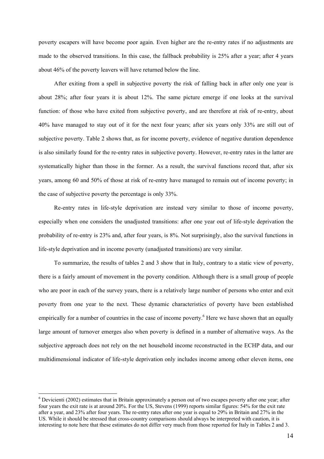poverty escapers will have become poor again. Even higher are the re-entry rates if no adjustments are made to the observed transitions. In this case, the fallback probability is 25% after a year; after 4 years about 46% of the poverty leavers will have returned below the line.

After exiting from a spell in subjective poverty the risk of falling back in after only one year is about 28%; after four years it is about 12%. The same picture emerge if one looks at the survival function: of those who have exited from subjective poverty, and are therefore at risk of re-entry, about 40% have managed to stay out of it for the next four years; after six years only 33% are still out of subjective poverty. Table 2 shows that, as for income poverty, evidence of negative duration dependence is also similarly found for the re-entry rates in subjective poverty. However, re-entry rates in the latter are systematically higher than those in the former. As a result, the survival functions record that, after six years, among 60 and 50% of those at risk of re-entry have managed to remain out of income poverty; in the case of subjective poverty the percentage is only 33%.

Re-entry rates in life-style deprivation are instead very similar to those of income poverty, especially when one considers the unadjusted transitions: after one year out of life-style deprivation the probability of re-entry is 23% and, after four years, is 8%. Not surprisingly, also the survival functions in life-style deprivation and in income poverty (unadjusted transitions) are very similar.

To summarize, the results of tables 2 and 3 show that in Italy, contrary to a static view of poverty, there is a fairly amount of movement in the poverty condition. Although there is a small group of people who are poor in each of the survey years, there is a relatively large number of persons who enter and exit poverty from one year to the next. These dynamic characteristics of poverty have been established empirically for a number of countries in the case of income poverty.<sup>6</sup> Here we have shown that an equally large amount of turnover emerges also when poverty is defined in a number of alternative ways. As the subjective approach does not rely on the net household income reconstructed in the ECHP data, and our multidimensional indicator of life-style deprivation only includes income among other eleven items, one

 $\overline{a}$ 

 $6$  Devicienti (2002) estimates that in Britain approximately a person out of two escapes poverty after one year; after four years the exit rate is at around 20%. For the US, Stevens (1999) reports similar figures: 54% for the exit rate after a year, and 23% after four years. The re-entry rates after one year is equal to 29% in Britain and 27% in the US. While it should be stressed that cross-country comparisons should always be interpreted with caution, it is interesting to note here that these estimates do not differ very much from those reported for Italy in Tables 2 and 3.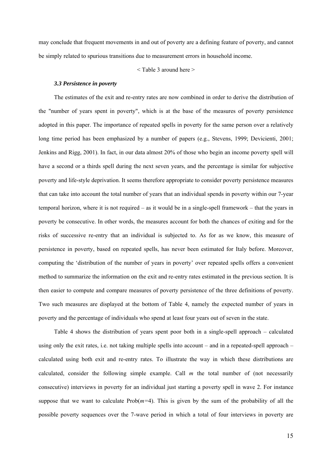may conclude that frequent movements in and out of poverty are a defining feature of poverty, and cannot be simply related to spurious transitions due to measurement errors in household income.

< Table 3 around here >

#### *3.3 Persistence in poverty*

The estimates of the exit and re-entry rates are now combined in order to derive the distribution of the "number of years spent in poverty", which is at the base of the measures of poverty persistence adopted in this paper. The importance of repeated spells in poverty for the same person over a relatively long time period has been emphasized by a number of papers (e.g., Stevens, 1999; Devicienti, 2001; Jenkins and Rigg, 2001). In fact, in our data almost 20% of those who begin an income poverty spell will have a second or a thirds spell during the next seven years, and the percentage is similar for subjective poverty and life-style deprivation. It seems therefore appropriate to consider poverty persistence measures that can take into account the total number of years that an individual spends in poverty within our 7-year temporal horizon, where it is not required – as it would be in a single-spell framework – that the years in poverty be consecutive. In other words, the measures account for both the chances of exiting and for the risks of successive re-entry that an individual is subjected to. As for as we know, this measure of persistence in poverty, based on repeated spells, has never been estimated for Italy before. Moreover, computing the 'distribution of the number of years in poverty' over repeated spells offers a convenient method to summarize the information on the exit and re-entry rates estimated in the previous section. It is then easier to compute and compare measures of poverty persistence of the three definitions of poverty. Two such measures are displayed at the bottom of Table 4, namely the expected number of years in poverty and the percentage of individuals who spend at least four years out of seven in the state.

Table 4 shows the distribution of years spent poor both in a single-spell approach – calculated using only the exit rates, i.e. not taking multiple spells into account – and in a repeated-spell approach – calculated using both exit and re-entry rates. To illustrate the way in which these distributions are calculated, consider the following simple example. Call *m* the total number of (not necessarily consecutive) interviews in poverty for an individual just starting a poverty spell in wave 2. For instance suppose that we want to calculate  $Prob(m=4)$ . This is given by the sum of the probability of all the possible poverty sequences over the 7-wave period in which a total of four interviews in poverty are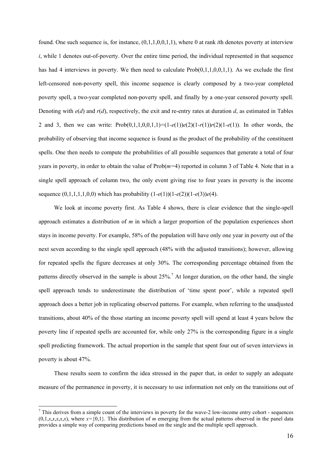found. One such sequence is, for instance, (0,1,1,0,0,1,1), where 0 at rank *i*th denotes poverty at interview *i*, while 1 denotes out-of-poverty. Over the entire time period, the individual represented in that sequence has had 4 interviews in poverty. We then need to calculate Prob(0,1,1,0,0,1,1). As we exclude the first left-censored non-poverty spell, this income sequence is clearly composed by a two-year completed poverty spell, a two-year completed non-poverty spell, and finally by a one-year censored poverty spell. Denoting with  $e(d)$  and  $r(d)$ , respectively, the exit and re-entry rates at duration *d*, as estimated in Tables 2 and 3, then we can write: Prob(0,1,1,0,0,1,1)*=*(1*-e*(1))*e*(2)(1*-r*(1))*r*(2)(1*-e*(1)). In other words, the probability of observing that income sequence is found as the product of the probability of the constituent spells. One then needs to compute the probabilities of all possible sequences that generate a total of four years in poverty, in order to obtain the value of Prob(*m=*4) reported in column 3 of Table 4. Note that in a single spell approach of column two, the only event giving rise to four years in poverty is the income sequence  $(0,1,1,1,1,0,0)$  which has probability  $(1-e(1))(1-e(2))(1-e(3))e(4)$ .

We look at income poverty first. As Table 4 shows, there is clear evidence that the single-spell approach estimates a distribution of *m* in which a larger proportion of the population experiences short stays in income poverty. For example, 58% of the population will have only one year in poverty out of the next seven according to the single spell approach (48% with the adjusted transitions); however, allowing for repeated spells the figure decreases at only 30%. The corresponding percentage obtained from the patterns directly observed in the sample is about  $25\%$ <sup>7</sup>. At longer duration, on the other hand, the single spell approach tends to underestimate the distribution of 'time spent poor', while a repeated spell approach does a better job in replicating observed patterns. For example, when referring to the unadjusted transitions, about 40% of the those starting an income poverty spell will spend at least 4 years below the poverty line if repeated spells are accounted for, while only 27% is the corresponding figure in a single spell predicting framework. The actual proportion in the sample that spent four out of seven interviews in poverty is about 47%.

These results seem to confirm the idea stressed in the paper that, in order to supply an adequate measure of the permanence in poverty, it is necessary to use information not only on the transitions out of

 $\overline{a}$ 

 $<sup>7</sup>$  This derives from a simple count of the interviews in poverty for the wave-2 low-income entry cohort - sequences</sup>  $(0,1,x,x,x,x,x)$ , where  $x = \{0,1\}$ . This distribution of *m* emerging from the actual patterns observed in the panel data provides a simple way of comparing predictions based on the single and the multiple spell approach.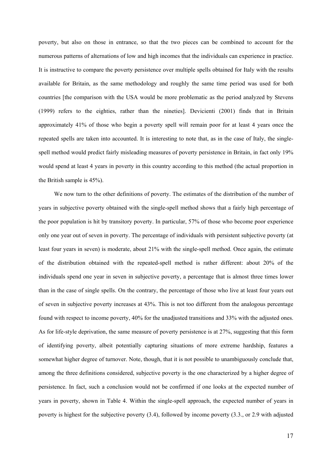poverty, but also on those in entrance, so that the two pieces can be combined to account for the numerous patterns of alternations of low and high incomes that the individuals can experience in practice. It is instructive to compare the poverty persistence over multiple spells obtained for Italy with the results available for Britain, as the same methodology and roughly the same time period was used for both countries [the comparison with the USA would be more problematic as the period analyzed by Stevens (1999) refers to the eighties, rather than the nineties]. Devicienti (2001) finds that in Britain approximately 41% of those who begin a poverty spell will remain poor for at least 4 years once the repeated spells are taken into accounted. It is interesting to note that, as in the case of Italy, the singlespell method would predict fairly misleading measures of poverty persistence in Britain, in fact only 19% would spend at least 4 years in poverty in this country according to this method (the actual proportion in the British sample is 45%).

We now turn to the other definitions of poverty. The estimates of the distribution of the number of years in subjective poverty obtained with the single-spell method shows that a fairly high percentage of the poor population is hit by transitory poverty. In particular, 57% of those who become poor experience only one year out of seven in poverty. The percentage of individuals with persistent subjective poverty (at least four years in seven) is moderate, about 21% with the single-spell method. Once again, the estimate of the distribution obtained with the repeated-spell method is rather different: about 20% of the individuals spend one year in seven in subjective poverty, a percentage that is almost three times lower than in the case of single spells. On the contrary, the percentage of those who live at least four years out of seven in subjective poverty increases at 43%. This is not too different from the analogous percentage found with respect to income poverty, 40% for the unadjusted transitions and 33% with the adjusted ones. As for life-style deprivation, the same measure of poverty persistence is at 27%, suggesting that this form of identifying poverty, albeit potentially capturing situations of more extreme hardship, features a somewhat higher degree of turnover. Note, though, that it is not possible to unambiguously conclude that, among the three definitions considered, subjective poverty is the one characterized by a higher degree of persistence. In fact, such a conclusion would not be confirmed if one looks at the expected number of years in poverty, shown in Table 4. Within the single-spell approach, the expected number of years in poverty is highest for the subjective poverty (3.4), followed by income poverty (3.3., or 2.9 with adjusted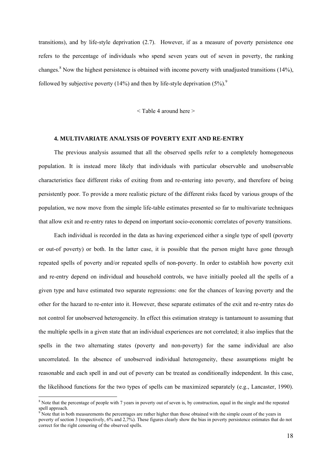transitions), and by life-style deprivation (2.7). However, if as a measure of poverty persistence one refers to the percentage of individuals who spend seven years out of seven in poverty, the ranking changes.<sup>8</sup> Now the highest persistence is obtained with income poverty with unadjusted transitions (14%), followed by subjective poverty (14%) and then by life-style deprivation  $(5\%)$ .

 $<$ Table 4 around here  $>$ 

#### **4. MULTIVARIATE ANALYSIS OF POVERTY EXIT AND RE-ENTRY**

The previous analysis assumed that all the observed spells refer to a completely homogeneous population. It is instead more likely that individuals with particular observable and unobservable characteristics face different risks of exiting from and re-entering into poverty, and therefore of being persistently poor. To provide a more realistic picture of the different risks faced by various groups of the population, we now move from the simple life-table estimates presented so far to multivariate techniques that allow exit and re-entry rates to depend on important socio-economic correlates of poverty transitions.

Each individual is recorded in the data as having experienced either a single type of spell (poverty or out-of poverty) or both. In the latter case, it is possible that the person might have gone through repeated spells of poverty and/or repeated spells of non-poverty. In order to establish how poverty exit and re-entry depend on individual and household controls, we have initially pooled all the spells of a given type and have estimated two separate regressions: one for the chances of leaving poverty and the other for the hazard to re-enter into it. However, these separate estimates of the exit and re-entry rates do not control for unobserved heterogeneity. In effect this estimation strategy is tantamount to assuming that the multiple spells in a given state that an individual experiences are not correlated; it also implies that the spells in the two alternating states (poverty and non-poverty) for the same individual are also uncorrelated. In the absence of unobserved individual heterogeneity, these assumptions might be reasonable and each spell in and out of poverty can be treated as conditionally independent. In this case, the likelihood functions for the two types of spells can be maximized separately (e.g., Lancaster, 1990).

 $\overline{a}$ 

 $8$  Note that the percentage of people with 7 years in poverty out of seven is, by construction, equal in the single and the repeated spell approach.<br><sup>9</sup> Note that in he

Note that in both measurements the percentages are rather higher than those obtained with the simple count of the years in poverty of section 3 (respectively, 6% and 2,7%). These figures clearly show the bias in poverty persistence estimates that do not correct for the right censoring of the observed spells.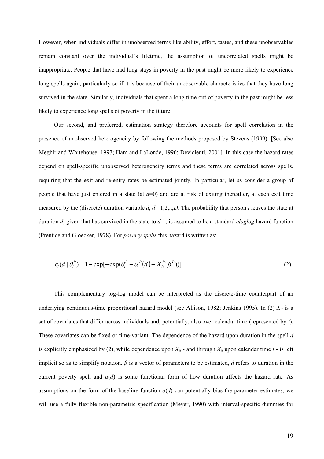However, when individuals differ in unobserved terms like ability, effort, tastes, and these unobservables remain constant over the individual's lifetime, the assumption of uncorrelated spells might be inappropriate. People that have had long stays in poverty in the past might be more likely to experience long spells again, particularly so if it is because of their unobservable characteristics that they have long survived in the state. Similarly, individuals that spent a long time out of poverty in the past might be less likely to experience long spells of poverty in the future.

Our second, and preferred, estimation strategy therefore accounts for spell correlation in the presence of unobserved heterogeneity by following the methods proposed by Stevens (1999). [See also Meghir and Whitehouse, 1997; Ham and LaLonde, 1996; Devicienti, 2001]. In this case the hazard rates depend on spell-specific unobserved heterogeneity terms and these terms are correlated across spells, requiring that the exit and re-entry rates be estimated jointly. In particular, let us consider a group of people that have just entered in a state (at  $d=0$ ) and are at risk of exiting thereafter, at each exit time measured by the (discrete) duration variable  $d$ ,  $d = 1, 2, \ldots, D$ . The probability that person *i* leaves the state at duration *d*, given that has survived in the state to *d*-1, is assumed to be a standard *cloglog* hazard function (Prentice and Gloecker, 1978). For *poverty spells* this hazard is written as:

$$
e_i(d \mid \theta_i^P) = 1 - \exp[-\exp(\theta_i^P + \alpha^P(d) + X_{it}^P(\beta^P))]
$$
\n(2)

This complementary log-log model can be interpreted as the discrete-time counterpart of an underlying continuous-time proportional hazard model (see Allison, 1982; Jenkins 1995). In (2)  $X_{it}$  is a set of covariates that differ across individuals and, potentially, also over calendar time (represented by *t*). These covariates can be fixed or time-variant. The dependence of the hazard upon duration in the spell *d* is explicitly emphasized by (2), while dependence upon  $X_{it}$  - and through  $X_{it}$  upon calendar time  $t$  - is left implicit so as to simplify notation. *β* is a vector of parameters to be estimated, *d* refers to duration in the current poverty spell and  $\alpha(d)$  is some functional form of how duration affects the hazard rate. As assumptions on the form of the baseline function  $\alpha(d)$  can potentially bias the parameter estimates, we will use a fully flexible non-parametric specification (Meyer, 1990) with interval-specific dummies for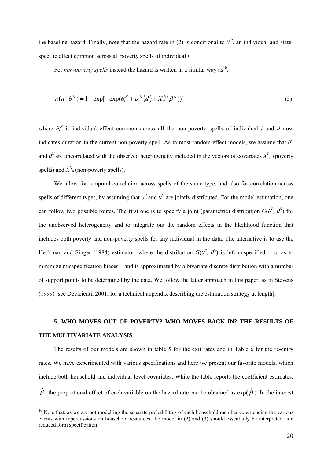the baseline hazard. Finally, note that the hazard rate in (2) is conditional to  $\theta_i^P$ , an individual and statespecific effect common across all poverty spells of individual *i*.

For *non-poverty spells* instead the hazard is written in a similar way as<sup>10</sup>:

$$
r_i(d | \theta_i^N) = 1 - \exp[-\exp(\theta_i^N + \alpha^N(d) + X_{ii}^N \beta^N))]
$$
\n(3)

where  $\theta_i^N$  is individual effect common across all the non-poverty spells of individual *i* and *d* now indicates duration in the current non-poverty spell. As in most random-effect models, we assume that *θ<sup>P</sup>* and  $\theta^N$  are uncorrelated with the observed heterogeneity included in the vectors of covariates  $X^P_{i}$  (poverty spells) and  $X^N_{it}$  (non-poverty spells).

We allow for temporal correlation across spells of the same type, and also for correlation across spells of different types, by assuming that  $\theta^p$  and  $\theta^N$  are jointly distributed. For the model estimation, one can follow two possible routes. The first one is to specify a joint (parametric) distribution  $G(\theta^P, \theta^N)$  for the unobserved heterogeneity and to integrate out the random effects in the likelihood function that includes both poverty and non-poverty spells for any individual in the data. The alternative is to use the Heckman and Singer (1984) estimator, where the distribution  $G(\theta^p, \theta^N)$  is left unspecified – so as to minimize misspecification biases – and is approximated by a bivariate discrete distribution with a number of support points to be determined by the data. We follow the latter approach in this paper, as in Stevens (1999) [see Devicienti, 2001, for a technical appendix describing the estimation strategy at length].

## **5. WHO MOVES OUT OF POVERTY? WHO MOVES BACK IN? THE RESULTS OF THE MULTIVARIATE ANALYSIS**

The results of our models are shown in table 5 for the exit rates and in Table 6 for the re-entry rates. We have experimented with various specifications and here we present our favorite models, which include both household and individual level covariates. While the table reports the coefficient estimates,  $\hat{\beta}$ , the proportional effect of each variable on the hazard rate can be obtained as exp( $\hat{\beta}$ ). In the interest

 $\overline{a}$ 

 $10$  Note that, as we are not modelling the separate probabilities of each household member experiencing the various events with repercussions on household resources, the model in (2) and (3) should essentially be interpreted as a reduced form specification.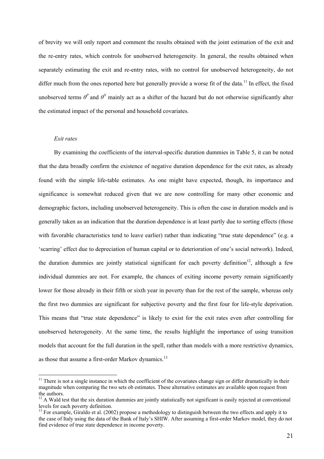of brevity we will only report and comment the results obtained with the joint estimation of the exit and the re-entry rates, which controls for unobserved heterogeneity. In general, the results obtained when separately estimating the exit and re-entry rates, with no control for unobserved heterogeneity, do not differ much from the ones reported here but generally provide a worse fit of the data.<sup>11</sup> In effect, the fixed unobserved terms  $\theta^p$  and  $\theta^N$  mainly act as a shifter of the hazard but do not otherwise significantly alter the estimated impact of the personal and household covariates.

#### *Exit rates*

 $\overline{a}$ 

By examining the coefficients of the interval-specific duration dummies in Table 5, it can be noted that the data broadly confirm the existence of negative duration dependence for the exit rates, as already found with the simple life-table estimates. As one might have expected, though, its importance and significance is somewhat reduced given that we are now controlling for many other economic and demographic factors, including unobserved heterogeneity. This is often the case in duration models and is generally taken as an indication that the duration dependence is at least partly due to sorting effects (those with favorable characteristics tend to leave earlier) rather than indicating "true state dependence" (e.g. a 'scarring' effect due to depreciation of human capital or to deterioration of one's social network). Indeed, the duration dummies are jointly statistical significant for each poverty definition<sup>12</sup>, although a few individual dummies are not. For example, the chances of exiting income poverty remain significantly lower for those already in their fifth or sixth year in poverty than for the rest of the sample, whereas only the first two dummies are significant for subjective poverty and the first four for life-style deprivation. This means that "true state dependence" is likely to exist for the exit rates even after controlling for unobserved heterogeneity. At the same time, the results highlight the importance of using transition models that account for the full duration in the spell, rather than models with a more restrictive dynamics, as those that assume a first-order Markov dynamics.<sup>13</sup>

 $11$  There is not a single instance in which the coefficient of the covariates change sign or differ dramatically in their magnitude when comparing the two sets ob estimates. These alternative estimates are available upon request from the authors.

<sup>&</sup>lt;sup>12</sup> A Wald test that the six duration dummies are jointly statistically not significant is easily rejected at conventional levels for each poverty definition.

 $^{13}$  For example, Giraldo et al. (2002) propose a methodology to distinguish between the two effects and apply it to the case of Italy using the data of the Bank of Italy's SHIW. After assuming a first-order Markov model, they do not find evidence of true state dependence in income poverty.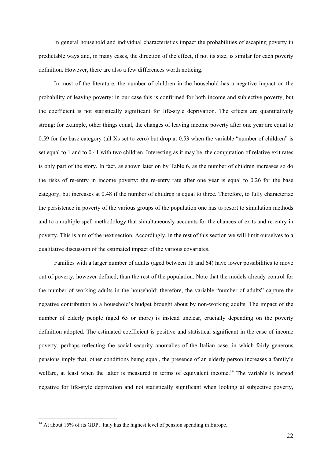In general household and individual characteristics impact the probabilities of escaping poverty in predictable ways and, in many cases, the direction of the effect, if not its size, is similar for each poverty definition. However, there are also a few differences worth noticing.

In most of the literature, the number of children in the household has a negative impact on the probability of leaving poverty: in our case this is confirmed for both income and subjective poverty, but the coefficient is not statistically significant for life-style deprivation. The effects are quantitatively strong: for example, other things equal, the changes of leaving income poverty after one year are equal to 0.59 for the base category (all Xs set to zero) but drop at 0.53 when the variable "number of children" is set equal to 1 and to 0.41 with two children. Interesting as it may be, the computation of relative exit rates is only part of the story. In fact, as shown later on by Table 6, as the number of children increases so do the risks of re-entry in income poverty: the re-entry rate after one year is equal to 0.26 for the base category, but increases at 0.48 if the number of children is equal to three. Therefore, to fully characterize the persistence in poverty of the various groups of the population one has to resort to simulation methods and to a multiple spell methodology that simultaneously accounts for the chances of exits and re-entry in poverty. This is aim of the next section. Accordingly, in the rest of this section we will limit ourselves to a qualitative discussion of the estimated impact of the various covariates.

Families with a larger number of adults (aged between 18 and 64) have lower possibilities to move out of poverty, however defined, than the rest of the population. Note that the models already control for the number of working adults in the household; therefore, the variable "number of adults" capture the negative contribution to a household's budget brought about by non-working adults. The impact of the number of elderly people (aged 65 or more) is instead unclear, crucially depending on the poverty definition adopted. The estimated coefficient is positive and statistical significant in the case of income poverty, perhaps reflecting the social security anomalies of the Italian case, in which fairly generous pensions imply that, other conditions being equal, the presence of an elderly person increases a family's welfare, at least when the latter is measured in terms of equivalent income.<sup>14</sup> The variable is instead negative for life-style deprivation and not statistically significant when looking at subjective poverty,

<sup>&</sup>lt;sup>14</sup> At about 15% of its GDP, Italy has the highest level of pension spending in Europe.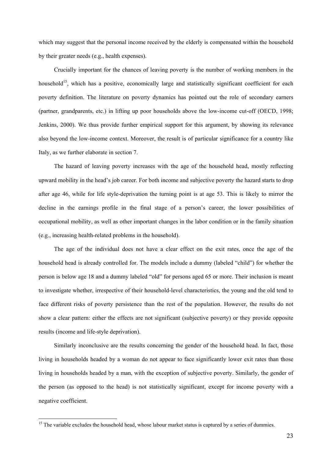which may suggest that the personal income received by the elderly is compensated within the household by their greater needs (e.g., health expenses).

Crucially important for the chances of leaving poverty is the number of working members in the household<sup>15</sup>, which has a positive, economically large and statistically significant coefficient for each poverty definition. The literature on poverty dynamics has pointed out the role of secondary earners (partner, grandparents, etc.) in lifting up poor households above the low-income cut-off (OECD, 1998; Jenkins, 2000). We thus provide further empirical support for this argument, by showing its relevance also beyond the low-income context. Moreover, the result is of particular significance for a country like Italy, as we further elaborate in section 7.

The hazard of leaving poverty increases with the age of the household head, mostly reflecting upward mobility in the head's job career. For both income and subjective poverty the hazard starts to drop after age 46, while for life style-deprivation the turning point is at age 53. This is likely to mirror the decline in the earnings profile in the final stage of a person's career, the lower possibilities of occupational mobility, as well as other important changes in the labor condition or in the family situation (e.g., increasing health-related problems in the household).

The age of the individual does not have a clear effect on the exit rates, once the age of the household head is already controlled for. The models include a dummy (labeled "child") for whether the person is below age 18 and a dummy labeled "old" for persons aged 65 or more. Their inclusion is meant to investigate whether, irrespective of their household-level characteristics, the young and the old tend to face different risks of poverty persistence than the rest of the population. However, the results do not show a clear pattern: either the effects are not significant (subjective poverty) or they provide opposite results (income and life-style deprivation).

Similarly inconclusive are the results concerning the gender of the household head. In fact, those living in households headed by a woman do not appear to face significantly lower exit rates than those living in households headed by a man, with the exception of subjective poverty. Similarly, the gender of the person (as opposed to the head) is not statistically significant, except for income poverty with a negative coefficient.

<sup>&</sup>lt;sup>15</sup> The variable excludes the household head, whose labour market status is captured by a series of dummies.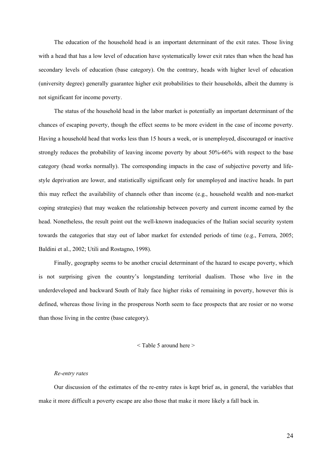The education of the household head is an important determinant of the exit rates. Those living with a head that has a low level of education have systematically lower exit rates than when the head has secondary levels of education (base category). On the contrary, heads with higher level of education (university degree) generally guarantee higher exit probabilities to their households, albeit the dummy is not significant for income poverty.

The status of the household head in the labor market is potentially an important determinant of the chances of escaping poverty, though the effect seems to be more evident in the case of income poverty. Having a household head that works less than 15 hours a week, or is unemployed, discouraged or inactive strongly reduces the probability of leaving income poverty by about 50%-66% with respect to the base category (head works normally). The corresponding impacts in the case of subjective poverty and lifestyle deprivation are lower, and statistically significant only for unemployed and inactive heads. In part this may reflect the availability of channels other than income (e.g., household wealth and non-market coping strategies) that may weaken the relationship between poverty and current income earned by the head. Nonetheless, the result point out the well-known inadequacies of the Italian social security system towards the categories that stay out of labor market for extended periods of time (e.g., Ferrera, 2005; Baldini et al., 2002; Utili and Rostagno, 1998).

Finally, geography seems to be another crucial determinant of the hazard to escape poverty, which is not surprising given the country's longstanding territorial dualism. Those who live in the underdeveloped and backward South of Italy face higher risks of remaining in poverty, however this is defined, whereas those living in the prosperous North seem to face prospects that are rosier or no worse than those living in the centre (base category).

#### < Table 5 around here >

#### *Re-entry rates*

Our discussion of the estimates of the re-entry rates is kept brief as, in general, the variables that make it more difficult a poverty escape are also those that make it more likely a fall back in.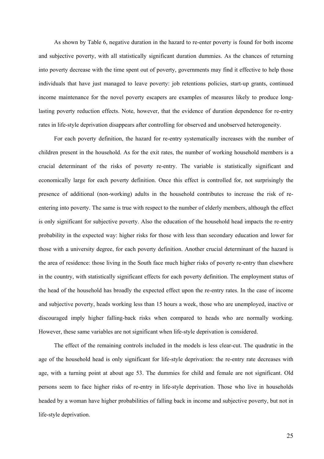As shown by Table 6, negative duration in the hazard to re-enter poverty is found for both income and subjective poverty, with all statistically significant duration dummies. As the chances of returning into poverty decrease with the time spent out of poverty, governments may find it effective to help those individuals that have just managed to leave poverty: job retentions policies, start-up grants, continued income maintenance for the novel poverty escapers are examples of measures likely to produce longlasting poverty reduction effects. Note, however, that the evidence of duration dependence for re-entry rates in life-style deprivation disappears after controlling for observed and unobserved heterogeneity.

For each poverty definition, the hazard for re-entry systematically increases with the number of children present in the household. As for the exit rates, the number of working household members is a crucial determinant of the risks of poverty re-entry. The variable is statistically significant and economically large for each poverty definition. Once this effect is controlled for, not surprisingly the presence of additional (non-working) adults in the household contributes to increase the risk of reentering into poverty. The same is true with respect to the number of elderly members, although the effect is only significant for subjective poverty. Also the education of the household head impacts the re-entry probability in the expected way: higher risks for those with less than secondary education and lower for those with a university degree, for each poverty definition. Another crucial determinant of the hazard is the area of residence: those living in the South face much higher risks of poverty re-entry than elsewhere in the country, with statistically significant effects for each poverty definition. The employment status of the head of the household has broadly the expected effect upon the re-entry rates. In the case of income and subjective poverty, heads working less than 15 hours a week, those who are unemployed, inactive or discouraged imply higher falling-back risks when compared to heads who are normally working. However, these same variables are not significant when life-style deprivation is considered.

The effect of the remaining controls included in the models is less clear-cut. The quadratic in the age of the household head is only significant for life-style deprivation: the re-entry rate decreases with age, with a turning point at about age 53. The dummies for child and female are not significant. Old persons seem to face higher risks of re-entry in life-style deprivation. Those who live in households headed by a woman have higher probabilities of falling back in income and subjective poverty, but not in life-style deprivation.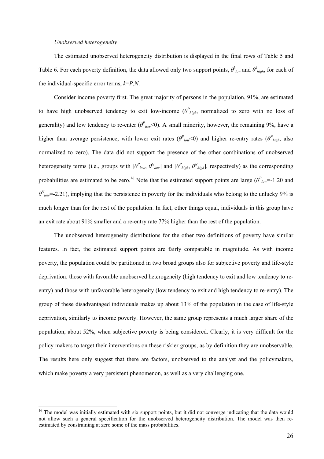#### *Unobserved heterogeneity*

 $\overline{a}$ 

The estimated unobserved heterogeneity distribution is displayed in the final rows of Table 5 and Table 6. For each poverty definition, the data allowed only two support points,  $\theta^k_{low}$  and  $\theta^k_{high}$ , for each of the individual-specific error terms, *k*=*P*,*N*.

Consider income poverty first. The great majority of persons in the population, 91%, are estimated to have high unobserved tendency to exit low-income  $(\theta_{high}^p)$ , normalized to zero with no loss of generality) and low tendency to re-enter  $(\theta_{low}^P\leq 0)$ . A small minority, however, the remaining 9%, have a higher than average persistence, with lower exit rates ( $\theta_{low}^P$ <0) and higher re-entry rates ( $\theta_{high}^V$ , also normalized to zero). The data did not support the presence of the other combinations of unobserved heterogeneity terms (i.e., groups with  $[\theta_{low}^p, \theta_{low}^N]$  and  $[\theta_{high}^p, \theta_{high}^N]$ , respectively) as the corresponding probabilities are estimated to be zero.<sup>16</sup> Note that the estimated support points are large ( $\theta_{low}^P$ =-1.20 and  $\theta_{low}^N = -2.21$ ), implying that the persistence in poverty for the individuals who belong to the unlucky 9% is much longer than for the rest of the population. In fact, other things equal, individuals in this group have an exit rate about 91% smaller and a re-entry rate 77% higher than the rest of the population.

The unobserved heterogeneity distributions for the other two definitions of poverty have similar features. In fact, the estimated support points are fairly comparable in magnitude. As with income poverty, the population could be partitioned in two broad groups also for subjective poverty and life-style deprivation: those with favorable unobserved heterogeneity (high tendency to exit and low tendency to reentry) and those with unfavorable heterogeneity (low tendency to exit and high tendency to re-entry). The group of these disadvantaged individuals makes up about 13% of the population in the case of life-style deprivation, similarly to income poverty. However, the same group represents a much larger share of the population, about 52%, when subjective poverty is being considered. Clearly, it is very difficult for the policy makers to target their interventions on these riskier groups, as by definition they are unobservable. The results here only suggest that there are factors, unobserved to the analyst and the policymakers, which make poverty a very persistent phenomenon, as well as a very challenging one.

<sup>&</sup>lt;sup>16</sup> The model was initially estimated with six support points, but it did not converge indicating that the data would not allow such a general specification for the unobserved heterogeneity distribution. The model was then reestimated by constraining at zero some of the mass probabilities.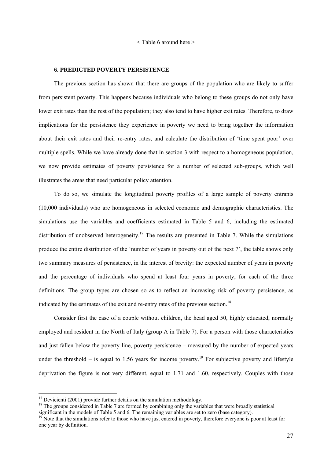< Table 6 around here >

#### **6. PREDICTED POVERTY PERSISTENCE**

The previous section has shown that there are groups of the population who are likely to suffer from persistent poverty. This happens because individuals who belong to these groups do not only have lower exit rates than the rest of the population; they also tend to have higher exit rates. Therefore, to draw implications for the persistence they experience in poverty we need to bring together the information about their exit rates and their re-entry rates, and calculate the distribution of 'time spent poor' over multiple spells. While we have already done that in section 3 with respect to a homogeneous population, we now provide estimates of poverty persistence for a number of selected sub-groups, which well illustrates the areas that need particular policy attention.

To do so, we simulate the longitudinal poverty profiles of a large sample of poverty entrants (10,000 individuals) who are homogeneous in selected economic and demographic characteristics. The simulations use the variables and coefficients estimated in Table 5 and 6, including the estimated distribution of unobserved heterogeneity.<sup>17</sup> The results are presented in Table 7. While the simulations produce the entire distribution of the 'number of years in poverty out of the next 7', the table shows only two summary measures of persistence, in the interest of brevity: the expected number of years in poverty and the percentage of individuals who spend at least four years in poverty, for each of the three definitions. The group types are chosen so as to reflect an increasing risk of poverty persistence, as indicated by the estimates of the exit and re-entry rates of the previous section.<sup>18</sup>

Consider first the case of a couple without children, the head aged 50, highly educated, normally employed and resident in the North of Italy (group A in Table 7). For a person with those characteristics and just fallen below the poverty line, poverty persistence – measured by the number of expected years under the threshold – is equal to 1.56 years for income poverty.<sup>19</sup> For subjective poverty and lifestyle deprivation the figure is not very different, equal to 1.71 and 1.60, respectively. Couples with those

 $\overline{a}$ 

 $17$  Devicienti (2001) provide further details on the simulation methodology.

<sup>&</sup>lt;sup>18</sup> The groups considered in Table 7 are formed by combining only the variables that were broadly statistical significant in the models of Table 5 and 6. The remaining variables are set to zero (base category).

<sup>&</sup>lt;sup>19</sup> Note that the simulations refer to those who have just entered in poverty, therefore everyone is poor at least for one year by definition.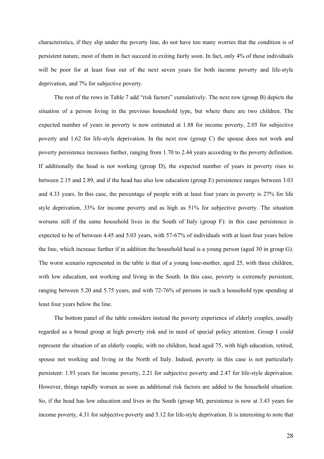characteristics, if they slip under the poverty line, do not have too many worries that the condition is of persistent nature, most of them in fact succeed in exiting fairly soon. In fact, only 4% of these individuals will be poor for at least four out of the next seven years for both income poverty and life-style deprivation, and 7% for subjective poverty.

The rest of the rows in Table 7 add "risk factors" cumulatively. The next row (group B) depicts the situation of a person living in the previous household type, but where there are two children. The expected number of years in poverty is now estimated at 1.88 for income poverty, 2.05 for subjective poverty and 1.62 for life-style deprivation. In the next row (group C) the spouse does not work and poverty persistence increases further, ranging from 1.70 to 2.44 years according to the poverty definition. If additionally the head is not working (group D), the expected number of years in poverty rises to between 2.15 and 2.89, and if the head has also low education (group E) persistence ranges between 3.03 and 4.33 years. In this case, the percentage of people with at least four years in poverty is 27% for life style deprivation, 33% for income poverty and as high as 51% for subjective poverty. The situation worsens still if the same household lives in the South of Italy (group F): in this case persistence is expected to be of between 4.45 and 5.03 years, with 57-67% of individuals with at least four years below the line, which increase further if in addition the household head is a young person (aged 30 in group G). The worst scenario represented in the table is that of a young lone-mother, aged 25, with three children, with low education, not working and living in the South. In this case, poverty is extremely persistent, ranging between 5.20 and 5.75 years, and with 72-76% of persons in such a household type spending at least four years below the line.

The bottom panel of the table considers instead the poverty experience of elderly couples, usually regarded as a broad group at high poverty risk and in need of special policy attention. Group I could represent the situation of an elderly couple, with no children, head aged 75, with high education, retired, spouse not working and living in the North of Italy. Indeed, poverty in this case is not particularly persistent: 1.93 years for income poverty, 2.21 for subjective poverty and 2.47 for life-style deprivation. However, things rapidly worsen as soon as additional risk factors are added to the household situation. So, if the head has low education and lives in the South (group M), persistence is now at 3.43 years for income poverty, 4.31 for subjective poverty and 5.12 for life-style deprivation. It is interesting to note that

28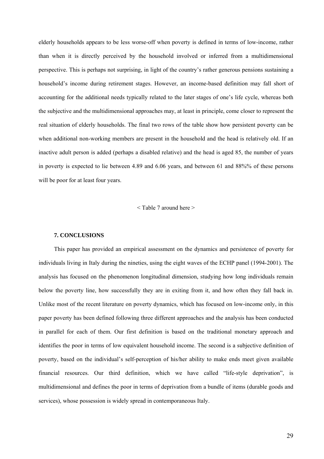elderly households appears to be less worse-off when poverty is defined in terms of low-income, rather than when it is directly perceived by the household involved or inferred from a multidimensional perspective. This is perhaps not surprising, in light of the country's rather generous pensions sustaining a household's income during retirement stages. However, an income-based definition may fall short of accounting for the additional needs typically related to the later stages of one's life cycle, whereas both the subjective and the multidimensional approaches may, at least in principle, come closer to represent the real situation of elderly households. The final two rows of the table show how persistent poverty can be when additional non-working members are present in the household and the head is relatively old. If an inactive adult person is added (perhaps a disabled relative) and the head is aged 85, the number of years in poverty is expected to lie between 4.89 and 6.06 years, and between 61 and 88%% of these persons will be poor for at least four years.

#### < Table 7 around here >

#### **7. CONCLUSIONS**

This paper has provided an empirical assessment on the dynamics and persistence of poverty for individuals living in Italy during the nineties, using the eight waves of the ECHP panel (1994-2001). The analysis has focused on the phenomenon longitudinal dimension, studying how long individuals remain below the poverty line, how successfully they are in exiting from it, and how often they fall back in. Unlike most of the recent literature on poverty dynamics, which has focused on low-income only, in this paper poverty has been defined following three different approaches and the analysis has been conducted in parallel for each of them. Our first definition is based on the traditional monetary approach and identifies the poor in terms of low equivalent household income. The second is a subjective definition of poverty, based on the individual's self-perception of his/her ability to make ends meet given available financial resources. Our third definition, which we have called "life-style deprivation", is multidimensional and defines the poor in terms of deprivation from a bundle of items (durable goods and services), whose possession is widely spread in contemporaneous Italy.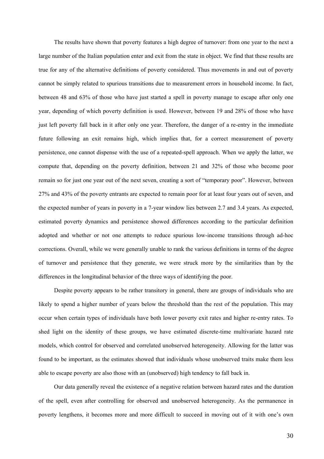The results have shown that poverty features a high degree of turnover: from one year to the next a large number of the Italian population enter and exit from the state in object. We find that these results are true for any of the alternative definitions of poverty considered. Thus movements in and out of poverty cannot be simply related to spurious transitions due to measurement errors in household income. In fact, between 48 and 63% of those who have just started a spell in poverty manage to escape after only one year, depending of which poverty definition is used. However, between 19 and 28% of those who have just left poverty fall back in it after only one year. Therefore, the danger of a re-entry in the immediate future following an exit remains high, which implies that, for a correct measurement of poverty persistence, one cannot dispense with the use of a repeated-spell approach. When we apply the latter, we compute that, depending on the poverty definition, between 21 and 32% of those who become poor remain so for just one year out of the next seven, creating a sort of "temporary poor". However, between 27% and 43% of the poverty entrants are expected to remain poor for at least four years out of seven, and the expected number of years in poverty in a 7-year window lies between 2.7 and 3.4 years. As expected, estimated poverty dynamics and persistence showed differences according to the particular definition adopted and whether or not one attempts to reduce spurious low-income transitions through ad-hoc corrections. Overall, while we were generally unable to rank the various definitions in terms of the degree of turnover and persistence that they generate, we were struck more by the similarities than by the differences in the longitudinal behavior of the three ways of identifying the poor.

Despite poverty appears to be rather transitory in general, there are groups of individuals who are likely to spend a higher number of years below the threshold than the rest of the population. This may occur when certain types of individuals have both lower poverty exit rates and higher re-entry rates. To shed light on the identity of these groups, we have estimated discrete-time multivariate hazard rate models, which control for observed and correlated unobserved heterogeneity. Allowing for the latter was found to be important, as the estimates showed that individuals whose unobserved traits make them less able to escape poverty are also those with an (unobserved) high tendency to fall back in.

Our data generally reveal the existence of a negative relation between hazard rates and the duration of the spell, even after controlling for observed and unobserved heterogeneity. As the permanence in poverty lengthens, it becomes more and more difficult to succeed in moving out of it with one's own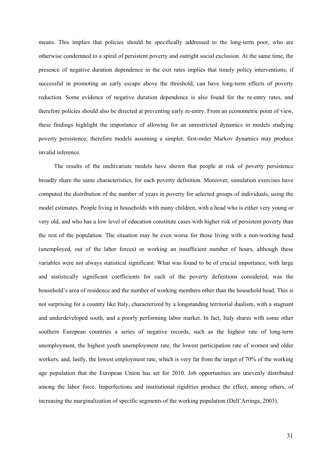means. This implies that policies should be specifically addressed to the long-term poor, who are otherwise condemned to a spiral of persistent poverty and outright social exclusion. At the same time, the presence of negative duration dependence in the exit rates implies that timely policy interventions, if successful in promoting an early escape above the threshold, can have long-term effects of poverty reduction. Some evidence of negative duration dependence is also found for the re-entry rates, and therefore policies should also be directed at preventing early re-entry. From an econometric point of view, these findings highlight the importance of allowing for an unrestricted dynamics in models studying poverty persistence; therefore models assuming a simpler, first-order Markov dynamics may produce invalid inference.

The results of the multivariate models have shown that people at risk of poverty persistence broadly share the same characteristics, for each poverty definition. Moreover, simulation exercises have computed the distribution of the number of years in poverty for selected groups of individuals, using the model estimates. People living in households with many children, with a head who is either very young or very old, and who has a low level of education constitute cases with higher risk of persistent poverty than the rest of the population. The situation may be even worse for those living with a non-working head (unemployed, out of the labor forces) or working an insufficient number of hours, although these variables were not always statistical significant. What was found to be of crucial importance, with large and statistically significant coefficients for each of the poverty definitions considered, was the household's area of residence and the number of working members other than the household head. This is not surprising for a country like Italy, characterized by a longstanding territorial dualism, with a stagnant and underdeveloped south, and a poorly performing labor market. In fact, Italy shares with some other southern European countries a series of negative records, such as the highest rate of long-term unemployment, the highest youth unemployment rate, the lowest participation rate of women and older workers, and, lastly, the lowest employment rate, which is very far from the target of 70% of the working age population that the European Union has set for 2010. Job opportunities are unevenly distributed among the labor force. Imperfections and institutional rigidities produce the effect, among others, of increasing the marginalization of specific segments of the working population (Dell'Arringa, 2003).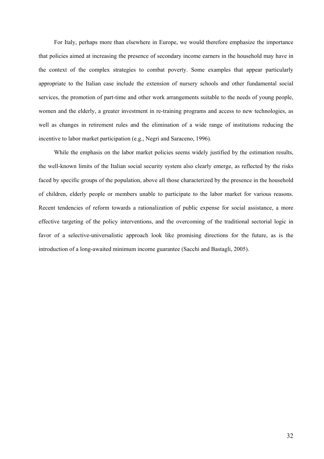For Italy, perhaps more than elsewhere in Europe, we would therefore emphasize the importance that policies aimed at increasing the presence of secondary income earners in the household may have in the context of the complex strategies to combat poverty. Some examples that appear particularly appropriate to the Italian case include the extension of nursery schools and other fundamental social services, the promotion of part-time and other work arrangements suitable to the needs of young people, women and the elderly, a greater investment in re-training programs and access to new technologies, as well as changes in retirement rules and the elimination of a wide range of institutions reducing the incentive to labor market participation (e.g., Negri and Saraceno, 1996).

While the emphasis on the labor market policies seems widely justified by the estimation results, the well-known limits of the Italian social security system also clearly emerge, as reflected by the risks faced by specific groups of the population, above all those characterized by the presence in the household of children, elderly people or members unable to participate to the labor market for various reasons. Recent tendencies of reform towards a rationalization of public expense for social assistance, a more effective targeting of the policy interventions, and the overcoming of the traditional sectorial logic in favor of a selective-universalistic approach look like promising directions for the future, as is the introduction of a long-awaited minimum income guarantee (Sacchi and Bastagli, 2005).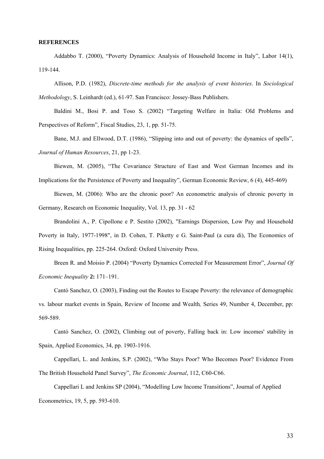#### **REFERENCES**

Addabbo T. (2000), "Poverty Dynamics: Analysis of Household Income in Italy", Labor 14(1), 119-144.

Allison, P.D. (1982), *Discrete-time methods for the analysis of event histories*. In *Sociological Methodology*, S. Leinhardt (ed.), 61-97. San Francisco: Jossey-Bass Publishers.

Baldini M., Bosi P. and Toso S. (2002) "Targeting Welfare in Italia: Old Problems and Perspectives of Reform", Fiscal Studies, 23, 1, pp. 51-75.

Bane, M.J. and Ellwood, D.T. (1986), "Slipping into and out of poverty: the dynamics of spells", *Journal of Human Resources*, 21, pp 1-23.

Biewen, M. (2005), "The Covariance Structure of East and West German Incomes and its Implications for the Persistence of Poverty and Inequality", German Economic Review, 6 (4), 445-469)

Biewen, M. (2006): Who are the chronic poor? An econometric analysis of chronic poverty in Germany, Research on Economic Inequality, Vol. 13, pp. 31 - 62

Brandolini A., P. Cipollone e P. Sestito (2002), "Earnings Dispersion, Low Pay and Household Poverty in Italy, 1977-1998", in D. Cohen, T. Piketty e G. Saint-Paul (a cura di), The Economics of Rising Inequalities, pp. 225-264. Oxford: Oxford University Press.

Breen R. and Moisio P. (2004) "Poverty Dynamics Corrected For Measurement Error", *Journal Of Economic Inequality* **2:** 171–191.

Cantό Sanchez, O. (2003), Finding out the Routes to Escape Poverty: the relevance of demographic vs. labour market events in Spain, Review of Income and Wealth*,* Series 49, Number 4, December, pp: 569-589.

Cantό Sanchez, O. (2002), Climbing out of poverty, Falling back in: Low incomes' stability in Spain, Applied Economics, 34, pp. 1903-1916.

Cappellari, L. and Jenkins, S.P. (2002), "Who Stays Poor? Who Becomes Poor? Evidence From The British Household Panel Survey", *The Economic Journal*, 112, C60-C66.

Cappellari L and Jenkins SP (2004), "Modelling Low Income Transitions", Journal of Applied Econometrics, 19, 5, pp. 593-610.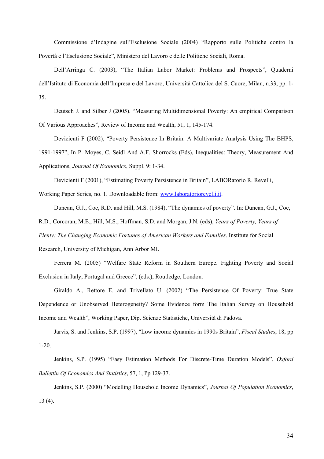Commissione d'Indagine sull'Esclusione Sociale (2004) "Rapporto sulle Politiche contro la Povertà e l'Esclusione Sociale", Ministero del Lavoro e delle Politiche Sociali, Roma.

Dell'Arringa C. (2003), "The Italian Labor Market: Problems and Prospects", Quaderni dell'Istituto di Economia dell'Impresa e del Lavoro, Università Cattolica del S. Cuore, Milan, n.33, pp. 1- 35.

Deutsch J. and Silber J (2005). "Measuring Multidimensional Poverty: An empirical Comparison Of Various Approaches", Review of Income and Wealth, 51, 1, 145-174.

Devicienti F (2002), "Poverty Persistence In Britain: A Multivariate Analysis Using The BHPS,

1991-1997", In P. Moyes, C. Seidl And A.F. Shorrocks (Eds), Inequalities: Theory, Measurement And Applications, *Journal Of Economics*, Suppl. 9: 1-34.

Devicienti F (2001), "Estimating Poverty Persistence in Britain", LABORatorio R. Revelli,

Working Paper Series, no. 1. Downloadable from: www.laboratoriorevelli.it.

Duncan, G.J., Coe, R.D. and Hill, M.S. (1984), "The dynamics of poverty". In: Duncan, G.J., Coe,

R.D., Corcoran, M.E., Hill, M.S., Hoffman, S.D. and Morgan, J.N. (eds), *Years of Poverty, Years of* 

*Plenty: The Changing Economic Fortunes of American Workers and Families*. Institute for Social

Research, University of Michigan, Ann Arbor MI.

Ferrera M. (2005) "Welfare State Reform in Southern Europe. Fighting Poverty and Social Exclusion in Italy, Portugal and Greece", (eds.), Routledge, London.

Giraldo A., Rettore E. and Trivellato U. (2002) "The Persistence Of Poverty: True State Dependence or Unobserved Heterogeneity? Some Evidence form The Italian Survey on Household Income and Wealth", Working Paper, Dip. Scienze Statistiche, Università di Padova.

Jarvis, S. and Jenkins, S.P. (1997), "Low income dynamics in 1990s Britain", *Fiscal Studies*, 18, pp 1-20.

Jenkins, S.P. (1995) "Easy Estimation Methods For Discrete-Time Duration Models". *Oxford Bullettin Of Economics And Statistics*, 57, 1, Pp 129-37.

Jenkins, S.P. (2000) "Modelling Household Income Dynamics", *Journal Of Population Economics*, 13 (4).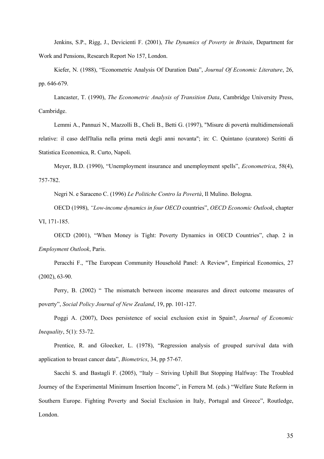Jenkins, S.P., Rigg, J., Devicienti F. (2001), *The Dynamics of Poverty in Britain*, Department for Work and Pensions, Research Report No 157, London.

Kiefer, N. (1988), "Econometric Analysis Of Duration Data", *Journal Of Economic Literature*, 26, pp. 646-679.

Lancaster, T. (1990), *The Econometric Analysis of Transition Data*, Cambridge University Press, Cambridge.

Lemmi A., Pannuzi N., Mazzolli B., Cheli B., Betti G. (1997), "Misure di povertà multidimensionali relative: il caso dell'Italia nella prima metà degli anni novanta"; in: C. Quintano (curatore) Scritti di Statistica Economica, R. Curto, Napoli.

Meyer, B.D. (1990), "Unemployment insurance and unemployment spells", *Econometrica*, 58(4), 757-782.

Negri N. e Saraceno C. (1996) *Le Politiche Contro la Povertà*, Il Mulino. Bologna.

OECD (1998), *"Low-income dynamics in four OECD* countries", *OECD Economic Outlook*, chapter VI, 171-185.

OECD (2001), "When Money is Tight: Poverty Dynamics in OECD Countries", chap. 2 in *Employment Outlook*, Paris.

Peracchi F., "The European Community Household Panel: A Review", Empirical Economics, 27 (2002), 63-90.

Perry, B. (2002) " The mismatch between income measures and direct outcome measures of poverty", *Social Policy Journal of New Zealand*, 19, pp. 101-127.

Poggi A. (2007), Does persistence of social exclusion exist in Spain?, *Journal of Economic Inequality*, 5(1): 53-72.

Prentice, R. and Gloecker, L. (1978), "Regression analysis of grouped survival data with application to breast cancer data", *Biometrics*, 34, pp 57-67.

Sacchi S. and Bastagli F. (2005), "Italy – Striving Uphill But Stopping Halfway: The Troubled Journey of the Experimental Minimum Insertion Income", in Ferrera M. (eds.) "Welfare State Reform in Southern Europe. Fighting Poverty and Social Exclusion in Italy, Portugal and Greece", Routledge, London.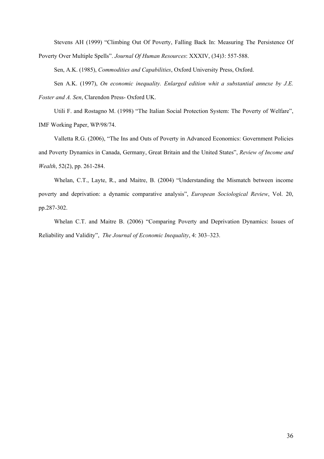Stevens AH (1999) "Climbing Out Of Poverty, Falling Back In: Measuring The Persistence Of Poverty Over Multiple Spells". *Journal Of Human Resources*: XXXIV, (34)3: 557-588.

Sen, A.K. (1985), *Commodities and Capabilities*, Oxford University Press, Oxford.

Sen A.K. (1997), *On economic inequality. Enlarged edition whit a substantial annexe by J.E. Foster and A. Sen*, Clarendon Press- Oxford UK.

Utili F. and Rostagno M. (1998) "The Italian Social Protection System: The Poverty of Welfare", IMF Working Paper, WP/98/74.

Valletta R.G. (2006), "The Ins and Outs of Poverty in Advanced Economics: Government Policies and Poverty Dynamics in Canada, Germany, Great Britain and the United States", *Review of Income and Wealth*, 52(2), pp. 261-284.

Whelan, C.T., Layte, R., and Maitre, B. (2004) "Understanding the Mismatch between income poverty and deprivation: a dynamic comparative analysis", *European Sociological Review*, Vol. 20, pp.287-302.

Whelan C.T. and Maitre B. (2006) "Comparing Poverty and Deprivation Dynamics: Issues of Reliability and Validity", *The Journal of Economic Inequality*, 4: 303–323.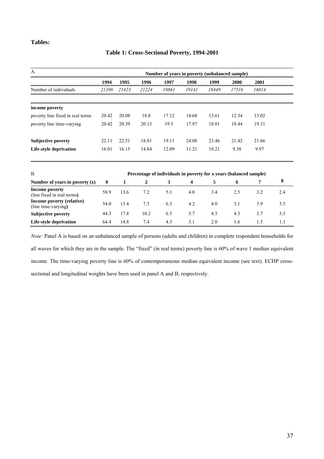## **Tables:**

#### **Table 1: Cross-Sectional Poverty, 1994-2001**

| $A$ .                            | Number of years in poverty (unbalanced sample) |       |       |       |       |       |       |       |  |
|----------------------------------|------------------------------------------------|-------|-------|-------|-------|-------|-------|-------|--|
|                                  | 1994                                           | 1995  | 1996  | 1997  | 1998  | 1999  | 2000  | 2001  |  |
| Number of individuals            | 21396                                          | 21423 | 21224 | 19861 | 19141 | 18449 | 17516 | 16014 |  |
| income poverty                   |                                                |       |       |       |       |       |       |       |  |
| poverty line fixed in real terms | 20.42                                          | 20.08 | 18.8  | 17.12 | 14.68 | 13.61 | 12.54 | 13.02 |  |
| poverty line time-varying        | 20.42                                          | 20.39 | 20.13 | 19.5  | 17.97 | 18.01 | 18.44 | 19.31 |  |
| <b>Subjective poverty</b>        | 22.11                                          | 22.51 | 18.81 | 19.11 | 24.08 | 23.46 | 21.42 | 21.66 |  |
| Life-style deprivation           | 16.01                                          | 16.15 | 14.84 | 12.09 | 11.21 | 10.21 | 9.38  | 9.97  |  |

| Β.                                               |          | Percentage of individuals in poverty for x years (balanced sample) |      |     |     |     |     |     |     |  |
|--------------------------------------------------|----------|--------------------------------------------------------------------|------|-----|-----|-----|-----|-----|-----|--|
| Number of years in poverty $(x)$                 | $\bf{0}$ |                                                                    |      | 3   | 4   |     | 6   |     | 8   |  |
| Income poverty<br>(line fixed in real terms)     | 58.9     | 13.6                                                               | 7.2  | 5.1 | 4.0 | 3.4 | 2.5 | 3.2 | 2.4 |  |
| Income poverty (relative)<br>(line time-varying) | 54.0     | 13.4                                                               | 7.3  | 6.3 | 4.2 | 4.0 | 3.1 | 3.9 | 3.5 |  |
| <b>Subjective poverty</b>                        | 44.3     | 17.8                                                               | 10.2 | 6.5 | 5.7 | 4.3 | 4.3 | 3.7 | 3.3 |  |
| Life-style deprivation                           | 64.4     | 14.8                                                               | 7.4  | 4.3 | 3.1 | 2.0 | 1.6 |     |     |  |

*Note:* Panel A is based on an unbalanced sample of persons (adults and children) in complete respondent households for all waves for which they are in the sample. The "fixed" (in real terms) poverty line is 60% of wave 1 median equivalent income. The time-varying poverty line is 60% of contemporaneous median equivalent income (see text). ECHP crosssectional and longitudinal weights have been used in panel A and B, respectively.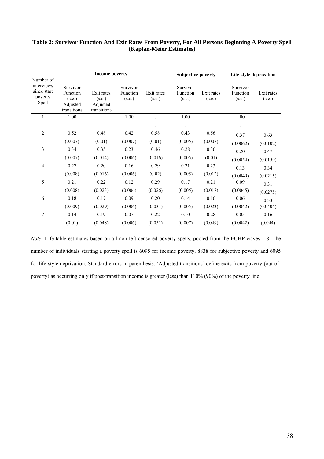## **Table 2: Survivor Function And Exit Rates From Poverty, For All Persons Beginning A Poverty Spell (Kaplan-Meier Estimates)**

| Number of                                     |                                                                                                              | Income poverty |                                                        |         | <b>Subjective poverty</b>      |                      | Life-style deprivation         |                      |
|-----------------------------------------------|--------------------------------------------------------------------------------------------------------------|----------------|--------------------------------------------------------|---------|--------------------------------|----------------------|--------------------------------|----------------------|
| interviews<br>since start<br>poverty<br>Spell | Survivor<br>Function<br>Exit rates<br>(s.e.)<br>(s.e.)<br>Adjusted<br>Adjusted<br>transitions<br>transitions |                | Survivor<br>Exit rates<br>Function<br>(s.e.)<br>(s.e.) |         | Survivor<br>Function<br>(s.e.) | Exit rates<br>(s.e.) | Survivor<br>Function<br>(s.e.) | Exit rates<br>(s.e.) |
| 1                                             | 1.00                                                                                                         |                | 1.00                                                   |         | 1.00                           |                      | 1.00                           |                      |
|                                               |                                                                                                              |                |                                                        |         |                                |                      |                                |                      |
| $\overline{2}$                                | 0.52                                                                                                         | 0.48           | 0.42                                                   | 0.58    | 0.43                           | 0.56                 | 0.37                           | 0.63                 |
|                                               | (0.007)                                                                                                      | (0.01)         | (0.007)                                                | (0.01)  | (0.005)                        | (0.007)              | (0.0062)                       | (0.0102)             |
| 3                                             | 0.34                                                                                                         | 0.35           | 0.23                                                   | 0.46    | 0.28                           | 0.36                 | 0.20                           | 0.47                 |
|                                               | (0.007)                                                                                                      | (0.014)        | (0.006)                                                | (0.016) | (0.005)                        | (0.01)               | (0.0054)                       | (0.0159)             |
| $\overline{4}$                                | 0.27                                                                                                         | 0.20           | 0.16                                                   | 0.29    | 0.21                           | 0.23                 | 0.13                           | 0.34                 |
|                                               | (0.008)                                                                                                      | (0.016)        | (0.006)                                                | (0.02)  | (0.005)                        | (0.012)              | (0.0049)                       | (0.0215)             |
| 5                                             | 0.21                                                                                                         | 0.22           | 0.12                                                   | 0.29    | 0.17                           | 0.21                 | 0.09                           | 0.31                 |
|                                               | (0.008)                                                                                                      | (0.023)        | (0.006)                                                | (0.026) | (0.005)                        | (0.017)              | (0.0045)                       | (0.0275)             |
| 6                                             | $0.18\,$                                                                                                     | 0.17           | 0.09                                                   | 0.20    | 0.14                           | 0.16                 | 0.06                           | 0.33                 |
|                                               | (0.009)                                                                                                      | (0.029)        | (0.006)                                                | (0.031) | (0.005)                        | (0.023)              | (0.0042)                       | (0.0404)             |
| 7                                             | 0.14                                                                                                         | 0.19           | 0.07                                                   | 0.22    | 0.10                           | 0.28                 | 0.05                           | 0.16                 |
|                                               | (0.01)                                                                                                       | (0.048)        | (0.006)                                                | (0.051) | (0.007)                        | (0.049)              | (0.0042)                       | (0.044)              |

*Note:* Life table estimates based on all non-left censored poverty spells, pooled from the ECHP waves 1-8. The number of individuals starting a poverty spell is 6095 for income poverty, 8838 for subjective poverty and 6095 for life-style deprivation. Standard errors in parenthesis. 'Adjusted transitions' define exits from poverty (out-ofpoverty) as occurring only if post-transition income is greater (less) than 110% (90%) of the poverty line.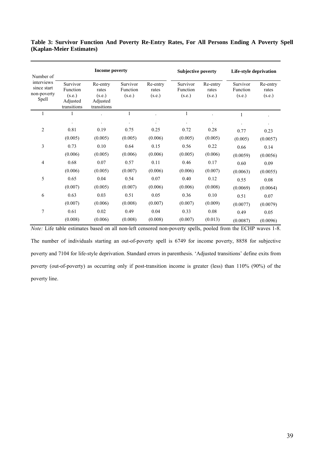## **Table 3: Survivor Function And Poverty Re-Entry Rates, For All Persons Ending A Poverty Spell (Kaplan-Meier Estimates)**

| Number of                                         |                                                           | <b>Income poverty</b>                                  |                                |                             | <b>Subjective poverty</b>      |                             | Life-style deprivation         |                             |
|---------------------------------------------------|-----------------------------------------------------------|--------------------------------------------------------|--------------------------------|-----------------------------|--------------------------------|-----------------------------|--------------------------------|-----------------------------|
| interviews<br>since start<br>non-poverty<br>Spell | Survivor<br>Function<br>(s.e.)<br>Adjusted<br>transitions | Re-entry<br>rates<br>(s.e.)<br>Adjusted<br>transitions | Survivor<br>Function<br>(s.e.) | Re-entry<br>rates<br>(s.e.) | Survivor<br>Function<br>(s.e.) | Re-entry<br>rates<br>(s.e.) | Survivor<br>Function<br>(s.e.) | Re-entry<br>rates<br>(s.e.) |
| 1                                                 | 1                                                         |                                                        | 1                              |                             | 1                              |                             | 1                              |                             |
|                                                   |                                                           |                                                        |                                |                             |                                |                             |                                |                             |
| $\overline{2}$                                    | 0.81                                                      | 0.19                                                   | 0.75                           | 0.25                        | 0.72                           | 0.28                        | 0.77                           | 0.23                        |
|                                                   | (0.005)                                                   | (0.005)                                                | (0.005)                        | (0.006)                     | (0.005)                        | (0.005)                     | (0.005)                        | (0.0057)                    |
| 3                                                 | 0.73                                                      | 0.10                                                   | 0.64                           | 0.15                        | 0.56                           | 0.22                        | 0.66                           | 0.14                        |
|                                                   | (0.006)                                                   | (0.005)                                                | (0.006)                        | (0.006)                     | (0.005)                        | (0.006)                     | (0.0059)                       | (0.0056)                    |
| $\overline{4}$                                    | 0.68                                                      | 0.07                                                   | 0.57                           | 0.11                        | 0.46                           | 0.17                        | 0.60                           | 0.09                        |
|                                                   | (0.006)                                                   | (0.005)                                                | (0.007)                        | (0.006)                     | (0.006)                        | (0.007)                     | (0.0063)                       | (0.0055)                    |
| 5                                                 | 0.65                                                      | 0.04                                                   | 0.54                           | 0.07                        | 0.40                           | 0.12                        | 0.55                           | 0.08                        |
|                                                   | (0.007)                                                   | (0.005)                                                | (0.007)                        | (0.006)                     | (0.006)                        | (0.008)                     | (0.0069)                       | (0.0064)                    |
| 6                                                 | 0.63                                                      | 0.03                                                   | 0.51                           | 0.05                        | 0.36                           | 0.10                        | 0.51                           | 0.07                        |
|                                                   | (0.007)                                                   | (0.006)                                                | (0.008)                        | (0.007)                     | (0.007)                        | (0.009)                     | (0.0077)                       | (0.0079)                    |
| 7                                                 | 0.61                                                      | 0.02                                                   | 0.49                           | 0.04                        | 0.33                           | 0.08                        | 0.49                           | 0.05                        |
|                                                   | (0.008)                                                   | (0.006)                                                | (0.008)                        | (0.008)                     | (0.007)                        | (0.013)                     | (0.0087)                       | (0.0096)                    |

*Note:* Life table estimates based on all non-left censored non-poverty spells, pooled from the ECHP waves 1-8. The number of individuals starting an out-of-poverty spell is 6749 for income poverty, 8858 for subjective poverty and 7104 for life-style deprivation. Standard errors in parenthesis. 'Adjusted transitions' define exits from poverty (out-of-poverty) as occurring only if post-transition income is greater (less) than 110% (90%) of the poverty line.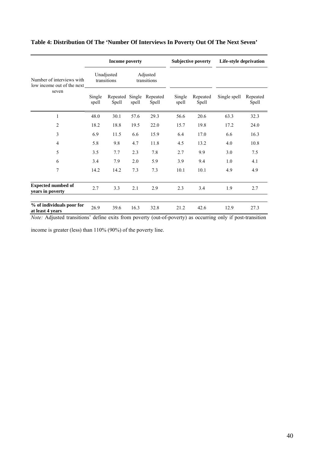|                                                         |                           | <b>Income poverty</b> |                         |                          | <b>Subjective poverty</b> |                   | Life-style deprivation |                   |
|---------------------------------------------------------|---------------------------|-----------------------|-------------------------|--------------------------|---------------------------|-------------------|------------------------|-------------------|
| Number of interviews with<br>low income out of the next | Unadjusted<br>transitions |                       | Adjusted<br>transitions |                          |                           |                   |                        |                   |
| seven                                                   | Single<br>spell           | Repeated<br>Spell     | Single<br>spell         | Repeated<br><b>Spell</b> | Single<br>spell           | Repeated<br>Spell | Single spell           | Repeated<br>Spell |
| $\mathbf{1}$                                            | 48.0                      | 30.1                  | 57.6                    | 29.3                     | 56.6                      | 20.6              | 63.3                   | 32.3              |
| $\overline{2}$                                          | 18.2                      | 18.8                  | 19.5                    | 22.0                     | 15.7                      | 19.8              | 17.2                   | 24.0              |
| $\mathfrak{Z}$                                          | 6.9                       | 11.5                  | 6.6                     | 15.9                     | 6.4                       | 17.0              | 6.6                    | 16.3              |
| $\overline{4}$                                          | 5.8                       | 9.8                   | 4.7                     | 11.8                     | 4.5                       | 13.2              | 4.0                    | 10.8              |
| 5                                                       | 3.5                       | 7.7                   | 2.3                     | 7.8                      | 2.7                       | 9.9               | 3.0                    | 7.5               |
| 6                                                       | 3.4                       | 7.9                   | 2.0                     | 5.9                      | 3.9                       | 9.4               | 1.0                    | 4.1               |
| $\overline{7}$                                          | 14.2                      | 14.2                  | 7.3                     | 7.3                      | 10.1                      | 10.1              | 4.9                    | 4.9               |
| <b>Expected numbed of</b><br>years in poverty           | 2.7                       | 3.3                   | 2.1                     | 2.9                      | 2.3                       | 3.4               | 1.9                    | 2.7               |
| % of individuals poor for<br>at least 4 years           | 26.9                      | 39.6                  | 16.3                    | 32.8                     | 21.2                      | 42.6              | 12.9                   | 27.3              |

## **Table 4: Distribution Of The 'Number Of Interviews In Poverty Out Of The Next Seven'**

*Note:* Adjusted transitions' define exits from poverty (out-of-poverty) as occurring only if post-transition

income is greater (less) than 110% (90%) of the poverty line.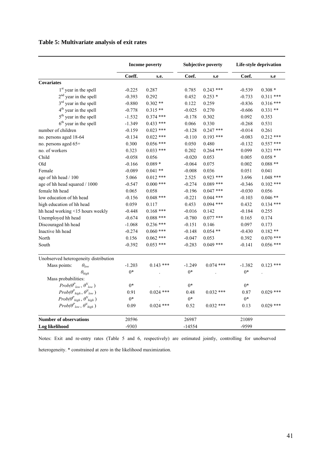## **Table 5: Multivariate analysis of exit rates**

|                                                                 |                         | <b>Income poverty</b> |          | <b>Subjective poverty</b> |          | Life-style deprivation |
|-----------------------------------------------------------------|-------------------------|-----------------------|----------|---------------------------|----------|------------------------|
|                                                                 | Coeff.                  | s.e.                  | Coef.    | s.e                       | Coef.    | s.e                    |
| <b>Covariates</b>                                               |                         |                       |          |                           |          |                        |
| 1 <sup>st</sup> year in the spell                               | $-0.225$                | 0.287                 | 0.785    | $0.243$ ***               | $-0.539$ | $0.308*$               |
| $2nd$ year in the spell                                         | $-0.393$                | 0.292                 | 0.452    | $0.253*$                  | $-0.733$ | $0.311$ ***            |
| 3 <sup>rd</sup> year in the spell                               | $-0.880$<br>$0.302**$   |                       | 0.122    | 0.259                     | $-0.836$ | $0.316***$             |
| 4 <sup>th</sup> year in the spell                               | $0.315**$<br>$-0.778$   |                       | $-0.025$ | 0.270                     | $-0.606$ | $0.331**$              |
| 5 <sup>th</sup> year in the spell                               | $-1.532$                | $0.374$ ***           | $-0.178$ | 0.302                     | 0.092    | 0.353                  |
| $6th$ year in the spell                                         | $0.433$ ***<br>$-1.349$ |                       | 0.066    | 0.330                     | $-0.268$ | 0.531                  |
| number of children                                              | $-0.159$                | $0.023$ ***           | $-0.128$ | $0.247$ ***               | $-0.014$ | 0.261                  |
| no. persons aged 18-64                                          | $-0.134$                | $0.022$ ***           | $-0.110$ | $0.193$ ***               | $-0.083$ | $0.212$ ***            |
| no. persons aged 65+                                            | 0.300                   | $0.056$ ***           | 0.050    | 0.480                     | $-0.132$ | $0.557$ ***            |
| no. of workers                                                  | 0.323                   | $0.033$ ***           | 0.202    | $0.264$ ***               | 0.099    | $0.321$ ***            |
| Child                                                           | $-0.058$                | 0.056                 | $-0.020$ | 0.053                     | 0.005    | $0.058*$               |
| Old                                                             | $-0.166$                | $0.089*$              | $-0.064$ | 0.075                     | 0.002    | $0.088**$              |
| Female                                                          | $-0.089$                | $0.041**$             | $-0.008$ | 0.036                     | 0.051    | 0.041                  |
| age of hh head / 100                                            | 5.066                   | $0.012$ ***           | 2.525    | $0.923$ ***               | 3.696    | $1.048$ ***            |
| age of hh head squared / 1000                                   | $-0.547$                | $0.000$ ***           | $-0.274$ | $0.089$ ***               | $-0.346$ | $0.102$ ***            |
| female hh head                                                  | 0.065                   | 0.058                 | $-0.196$ | $0.047$ ***               | $-0.030$ | 0.056                  |
| low education of hh head                                        | $-0.156$                | $0.048$ ***           | $-0.221$ | $0.044$ ***               | $-0.103$ | $0.046**$              |
| high education of hh head                                       | 0.059                   | 0.117                 | 0.453    | $0.094$ ***               | 0.432    | $0.134$ ***            |
| hh head working <15 hours weekly                                | $-0.448$                | $0.168$ ***           | $-0.016$ | 0.142                     | $-0.184$ | 0.255                  |
| Unemployed hh head                                              | $-0.674$                | $0.088$ ***           | $-0.780$ | $0.077$ ***               | 0.165    | 0.174                  |
| Discouraged hh head                                             | $-1.068$                | $0.236$ ***           | $-0.151$ | 0.146                     | 0.097    | 0.173                  |
| Inactive hh head                                                | $-0.274$                | $0.060$ ***           | $-0.148$ | $0.054$ **                | $-0.430$ | $0.182**$              |
| North                                                           | 0.156                   | $0.062$ ***           | $-0.047$ | 0.053                     | 0.392    | $0.070$ ***            |
| South                                                           | $-0.392$                | $0.053$ ***           | $-0.283$ | $0.049$ ***               | $-0.141$ | $0.056$ ***            |
| Unobserved heterogeneity distribution                           |                         |                       |          |                           |          |                        |
| Mass points:<br>$\theta_{low}$                                  | $-1.203$                | $0.143$ ***           | $-1.249$ | $0.074$ ***               | $-1.382$ | $0.123$ ***            |
| $\theta_{high}$                                                 | $0*$                    |                       | $0*$     |                           | $0*$     |                        |
| Mass probabilities:                                             |                         |                       |          |                           |          |                        |
| $Prob(\boldsymbol{\theta^P}_{low},\boldsymbol{\theta^N}_{low})$ | $0*$                    |                       | $0*$     |                           | $0*$     |                        |
| $Prob(\theta_{high}^P, \theta_{low}^N)$                         | 0.91                    | $0.024$ ***           | 0.48     | $0.032$ ***               | 0.87     | $0.029$ ***            |
| $Prob(\theta^P_{high}, \theta^N_{high})$                        | $0*$                    |                       | $0*$     |                           | $0*$     |                        |
| $Prob(\theta^P_{low}, \theta^N_{high})$                         | 0.09                    | $0.024$ ***           | 0.52     | $0.032$ ***               | 0.13     | $0.029$ ***            |
| <b>Number of observations</b>                                   | 20596                   |                       | 26987    |                           | 21089    |                        |
| Log likelihood                                                  | $-9303$                 |                       | $-14554$ |                           | -9599    |                        |

Notes: Exit and re-entry rates (Table 5 and 6, respectively) are estimated jointly, controlling for unobserved heterogeneity. \* constrained at zero in the likelihood maximization.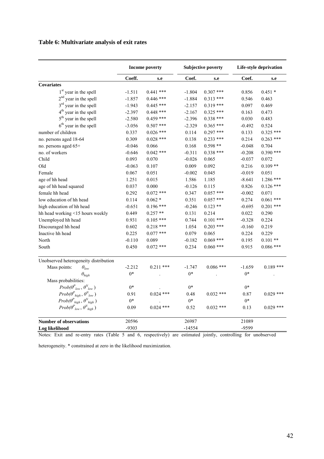## **Table 6: Multivariate analysis of exit rates**

|                                                                 |                         | <b>Income poverty</b> |          | <b>Subjective poverty</b> | Life-style deprivation |             |  |
|-----------------------------------------------------------------|-------------------------|-----------------------|----------|---------------------------|------------------------|-------------|--|
|                                                                 | Coeff.                  | s.e                   | Coef.    | s.e                       | Coef.                  | s.e         |  |
| <b>Covariates</b>                                               |                         |                       |          |                           |                        |             |  |
| 1 <sup>st</sup> year in the spell                               | $-1.511$                | $0.441$ ***           | $-1.804$ | $0.307$ ***               | 0.856                  | $0.451*$    |  |
| $2nd$ year in the spell                                         | $-1.857$                | $0.446$ ***           | $-1.884$ | $0.313$ ***               | 0.546                  | 0.463       |  |
| 3 <sup>rd</sup> year in the spell                               | $-1.943$                | $0.445$ ***           | $-2.157$ | $0.319$ ***               | 0.097                  | 0.469       |  |
| 4 <sup>th</sup> year in the spell                               | $-2.397$                | $0.448$ ***           | $-2.167$ | $0.325$ ***               | 0.163                  | 0.473       |  |
| 5 <sup>th</sup> year in the spell                               | $-2.580$<br>$0.459$ *** |                       | $-2.396$ | $0.338$ ***               | 0.030                  | 0.483       |  |
| $6th$ year in the spell                                         | $-3.056$                | $0.507$ ***           | $-2.329$ | $0.365$ ***               | $-0.492$               | 0.524       |  |
| number of children                                              | 0.337                   | $0.026$ ***           | 0.114    | $0.297$ ***               | 0.133                  | $0.325$ *** |  |
| no. persons aged 18-64                                          | 0.309                   | $0.028$ ***           | 0.138    | $0.233$ ***               | 0.214                  | $0.263$ *** |  |
| no. persons aged 65+                                            | $-0.046$                | 0.066                 | 0.168    | $0.598**$                 | $-0.048$               | 0.704       |  |
| no. of workers                                                  | $-0.646$                | $0.042$ ***           | $-0.311$ | $0.338$ ***               | $-0.208$               | $0.390$ *** |  |
| Child                                                           | 0.093                   | 0.070                 | $-0.026$ | 0.065                     | $-0.037$               | 0.072       |  |
| Old                                                             | $-0.063$                | 0.107                 | 0.009    | 0.092                     | 0.216                  | $0.109**$   |  |
| Female                                                          | 0.067                   | 0.051                 | $-0.002$ | 0.045                     | $-0.019$               | 0.051       |  |
| age of hh head                                                  | 1.251                   | 0.015                 | 1.586    | 1.185                     | $-8.641$               | $1.286$ *** |  |
| age of hh head squared                                          | 0.037                   | 0.000                 | $-0.126$ | 0.115                     | 0.826                  | $0.126$ *** |  |
| female hh head                                                  | 0.292                   | $0.072$ ***           | 0.347    | $0.057$ ***               | $-0.002$               | 0.071       |  |
| low education of hh head                                        | 0.114                   | $0.062*$              | 0.351    | $0.057$ ***               | 0.274                  | $0.061$ *** |  |
| high education of hh head                                       | $-0.651$                | $0.196$ ***           | $-0.246$ | $0.123**$                 | $-0.695$               | $0.201$ *** |  |
| hh head working <15 hours weekly                                | 0.449                   | $0.257**$             | 0.131    | 0.214                     | 0.022                  | 0.290       |  |
| Unemployed hh head                                              | 0.931                   | $0.105$ ***           | 0.744    | $0.101$ ***               | $-0.328$               | 0.224       |  |
| Discouraged hh head                                             | 0.602                   | $0.218$ ***           | 1.054    | $0.203$ ***               | $-0.160$               | 0.219       |  |
| Inactive hh head                                                | 0.225                   | $0.077$ ***           | 0.079    | 0.065                     | 0.224                  | 0.229       |  |
| North                                                           | $-0.110$                | 0.089                 | $-0.182$ | $0.069$ ***               | 0.195                  | $0.101**$   |  |
| South                                                           | 0.450                   | $0.072$ ***           | 0.234    | $0.060$ ***               | 0.915                  | $0.086$ *** |  |
| Unobserved heterogeneity distribution                           |                         |                       |          |                           |                        |             |  |
| Mass points:<br>$\theta_{low}$                                  | $-2.212$                | $0.211$ ***           | $-1.747$ | $0.086$ ***               | $-1.659$               | $0.189$ *** |  |
| $\theta_{high}$                                                 | $0*$                    |                       | $0*$     |                           | $0*$                   |             |  |
| Mass probabilities:                                             |                         |                       |          |                           |                        |             |  |
| $Prob(\boldsymbol{\theta^P}_{low},\boldsymbol{\theta^N}_{low})$ | $0*$                    |                       | $0*$     |                           | $0*$                   |             |  |
| $Prob(\theta^P_{high}, \theta^N_{low})$                         | 0.91                    | $0.024$ ***           | 0.48     | $0.032$ ***               | 0.87                   | $0.029$ *** |  |
| $Prob(\theta_{high}^P, \theta_{high}^N)$                        | $0*$                    |                       | $0*$     |                           | $0*$                   |             |  |
| $Prob(\theta^P_{low}, \theta^N_{high})$                         | 0.09                    | $0.024$ ***           | 0.52     | $0.032$ ***               | 0.13                   | $0.029$ *** |  |
| <b>Number of observations</b>                                   | 20596                   |                       | 26987    |                           | 21089                  |             |  |
| Log likelihood                                                  | $-9303$                 |                       | $-14554$ |                           | -9599                  |             |  |

Notes: Exit and re-entry rates (Table 5 and 6, respectively) are estimated jointly, controlling for unobserved

heterogeneity. \* constrained at zero in the likelihood maximization.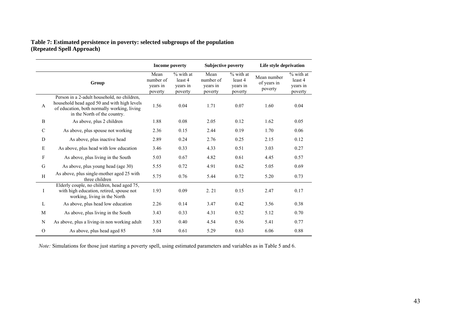## **Table 7: Estimated persistence in poverty: selected subgroups of the population (Repeated Spell Approach)**

|               |                                                                                                                                                                           | <b>Income poverty</b>                    |                                             | <b>Subjective poverty</b>                |                                               | Life style deprivation                |                                               |  |
|---------------|---------------------------------------------------------------------------------------------------------------------------------------------------------------------------|------------------------------------------|---------------------------------------------|------------------------------------------|-----------------------------------------------|---------------------------------------|-----------------------------------------------|--|
|               | Group                                                                                                                                                                     | Mean<br>number of<br>years in<br>poverty | % with at<br>least 4<br>years in<br>poverty | Mean<br>number of<br>years in<br>poverty | $%$ with at<br>least 4<br>years in<br>poverty | Mean number<br>of years in<br>poverty | $%$ with at<br>least 4<br>years in<br>poverty |  |
| $\mathbf{A}$  | Person in a 2-adult household, no children,<br>household head aged 50 and with high levels<br>of education, both normally working, living<br>in the North of the country. | 1.56                                     | 0.04                                        | 1.71                                     | 0.07                                          | 1.60                                  | 0.04                                          |  |
| $\, {\bf B}$  | As above, plus 2 children                                                                                                                                                 | 1.88                                     | 0.08                                        | 2.05                                     | 0.12                                          | 1.62                                  | 0.05                                          |  |
| $\mathcal{C}$ | As above, plus spouse not working                                                                                                                                         | 2.36                                     | 0.15                                        | 2.44                                     | 0.19                                          | 1.70                                  | 0.06                                          |  |
| D             | As above, plus inactive head                                                                                                                                              | 2.89                                     | 0.24                                        | 2.76                                     | 0.25                                          | 2.15                                  | 0.12                                          |  |
| E             | As above, plus head with low education                                                                                                                                    | 3.46                                     | 0.33                                        | 4.33                                     | 0.51                                          | 3.03                                  | 0.27                                          |  |
| $\mathbf{F}$  | As above, plus living in the South                                                                                                                                        | 5.03                                     | 0.67                                        | 4.82                                     | 0.61                                          | 4.45                                  | 0.57                                          |  |
| G             | As above, plus young head (age 30)                                                                                                                                        | 5.55                                     | 0.72                                        | 4.91                                     | 0.62                                          | 5.05                                  | 0.69                                          |  |
| H             | As above, plus single-mother aged 25 with<br>three children                                                                                                               | 5.75                                     | 0.76                                        | 5.44                                     | 0.72                                          | 5.20                                  | 0.73                                          |  |
| I             | Elderly couple, no children, head aged 75,<br>with high education, retired, spouse not<br>working, living in the North                                                    | 1.93                                     | 0.09                                        | 2.21                                     | 0.15                                          | 2.47                                  | 0.17                                          |  |
| L             | As above, plus head low education                                                                                                                                         | 2.26                                     | 0.14                                        | 3.47                                     | 0.42                                          | 3.56                                  | 0.38                                          |  |
| M             | As above, plus living in the South                                                                                                                                        | 3.43                                     | 0.33                                        | 4.31                                     | 0.52                                          | 5.12                                  | 0.70                                          |  |
| ${\bf N}$     | As above, plus a living-in non working adult                                                                                                                              | 3.83                                     | 0.40                                        | 4.54                                     | 0.56                                          | 5.41                                  | 0.77                                          |  |
| $\mathcal{O}$ | As above, plus head aged 85                                                                                                                                               | 5.04                                     | 0.61                                        | 5.29                                     | 0.63                                          | 6.06                                  | 0.88                                          |  |

*Note:* Simulations for those just starting a poverty spell, using estimated parameters and variables as in Table 5 and 6.